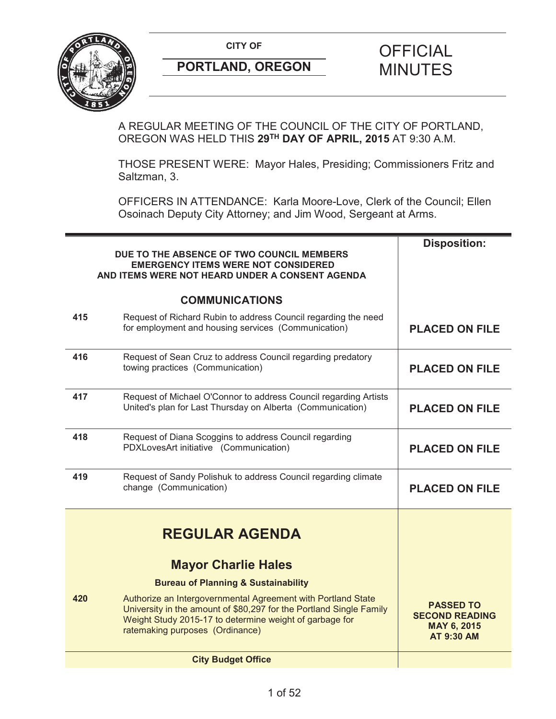

A REGULAR MEETING OF THE COUNCIL OF THE CITY OF PORTLAND, OREGON WAS HELD THIS **29TH DAY OF APRIL, 2015** AT 9:30 A.M.

THOSE PRESENT WERE: Mayor Hales, Presiding; Commissioners Fritz and Saltzman, 3.

OFFICERS IN ATTENDANCE: Karla Moore-Love, Clerk of the Council; Ellen Osoinach Deputy City Attorney; and Jim Wood, Sergeant at Arms.

|     | DUE TO THE ABSENCE OF TWO COUNCIL MEMBERS<br><b>EMERGENCY ITEMS WERE NOT CONSIDERED</b><br>AND ITEMS WERE NOT HEARD UNDER A CONSENT AGENDA                                                                                        | <b>Disposition:</b>                                                           |
|-----|-----------------------------------------------------------------------------------------------------------------------------------------------------------------------------------------------------------------------------------|-------------------------------------------------------------------------------|
|     | <b>COMMUNICATIONS</b>                                                                                                                                                                                                             |                                                                               |
| 415 | Request of Richard Rubin to address Council regarding the need<br>for employment and housing services (Communication)                                                                                                             | <b>PLACED ON FILE</b>                                                         |
| 416 | Request of Sean Cruz to address Council regarding predatory<br>towing practices (Communication)                                                                                                                                   | <b>PLACED ON FILE</b>                                                         |
| 417 | Request of Michael O'Connor to address Council regarding Artists<br>United's plan for Last Thursday on Alberta (Communication)                                                                                                    | <b>PLACED ON FILE</b>                                                         |
| 418 | Request of Diana Scoggins to address Council regarding<br>PDXLovesArt initiative (Communication)                                                                                                                                  | <b>PLACED ON FILE</b>                                                         |
| 419 | Request of Sandy Polishuk to address Council regarding climate<br>change (Communication)                                                                                                                                          | <b>PLACED ON FILE</b>                                                         |
|     | <b>REGULAR AGENDA</b>                                                                                                                                                                                                             |                                                                               |
|     | <b>Mayor Charlie Hales</b>                                                                                                                                                                                                        |                                                                               |
|     | <b>Bureau of Planning &amp; Sustainability</b>                                                                                                                                                                                    |                                                                               |
| 420 | Authorize an Intergovernmental Agreement with Portland State<br>University in the amount of \$80,297 for the Portland Single Family<br>Weight Study 2015-17 to determine weight of garbage for<br>ratemaking purposes (Ordinance) | <b>PASSED TO</b><br><b>SECOND READING</b><br>MAY 6, 2015<br><b>AT 9:30 AM</b> |
|     | <b>City Budget Office</b>                                                                                                                                                                                                         |                                                                               |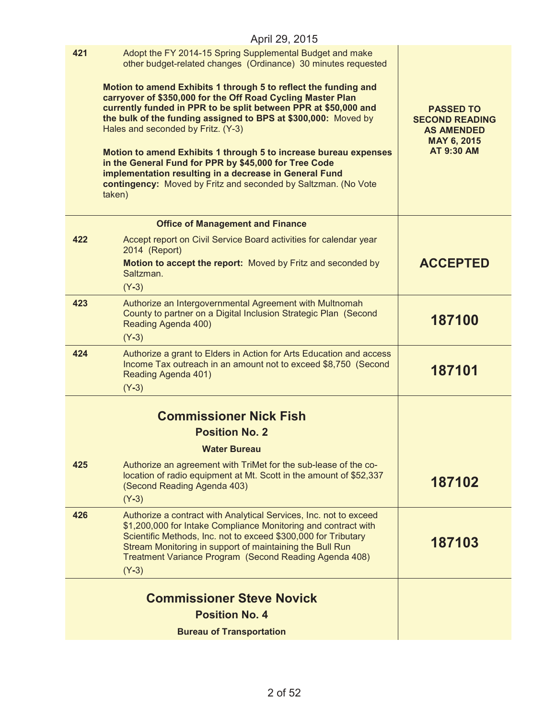|     | April 29, 2015                                                                                                                                                                                                                                                                                                                                                                                                                                                                                                                                                                                                                                                                                            |                                                                                                    |
|-----|-----------------------------------------------------------------------------------------------------------------------------------------------------------------------------------------------------------------------------------------------------------------------------------------------------------------------------------------------------------------------------------------------------------------------------------------------------------------------------------------------------------------------------------------------------------------------------------------------------------------------------------------------------------------------------------------------------------|----------------------------------------------------------------------------------------------------|
| 421 | Adopt the FY 2014-15 Spring Supplemental Budget and make<br>other budget-related changes (Ordinance) 30 minutes requested<br>Motion to amend Exhibits 1 through 5 to reflect the funding and<br>carryover of \$350,000 for the Off Road Cycling Master Plan<br>currently funded in PPR to be split between PPR at \$50,000 and<br>the bulk of the funding assigned to BPS at \$300,000: Moved by<br>Hales and seconded by Fritz. (Y-3)<br>Motion to amend Exhibits 1 through 5 to increase bureau expenses<br>in the General Fund for PPR by \$45,000 for Tree Code<br>implementation resulting in a decrease in General Fund<br>contingency: Moved by Fritz and seconded by Saltzman. (No Vote<br>taken) | <b>PASSED TO</b><br><b>SECOND READING</b><br><b>AS AMENDED</b><br>MAY 6, 2015<br><b>AT 9:30 AM</b> |
|     | <b>Office of Management and Finance</b>                                                                                                                                                                                                                                                                                                                                                                                                                                                                                                                                                                                                                                                                   |                                                                                                    |
| 422 | Accept report on Civil Service Board activities for calendar year<br>2014 (Report)<br>Motion to accept the report: Moved by Fritz and seconded by<br>Saltzman.<br>$(Y-3)$                                                                                                                                                                                                                                                                                                                                                                                                                                                                                                                                 | <b>ACCEPTED</b>                                                                                    |
| 423 | Authorize an Intergovernmental Agreement with Multnomah<br>County to partner on a Digital Inclusion Strategic Plan (Second<br>Reading Agenda 400)<br>$(Y-3)$                                                                                                                                                                                                                                                                                                                                                                                                                                                                                                                                              | 187100                                                                                             |
| 424 | Authorize a grant to Elders in Action for Arts Education and access<br>Income Tax outreach in an amount not to exceed \$8,750 (Second<br>Reading Agenda 401)<br>$(Y-3)$                                                                                                                                                                                                                                                                                                                                                                                                                                                                                                                                   | 187101                                                                                             |
|     | <b>Commissioner Nick Fish</b><br><b>Position No. 2</b><br><b>Water Bureau</b>                                                                                                                                                                                                                                                                                                                                                                                                                                                                                                                                                                                                                             |                                                                                                    |
| 425 | Authorize an agreement with TriMet for the sub-lease of the co-<br>location of radio equipment at Mt. Scott in the amount of \$52,337<br>(Second Reading Agenda 403)<br>$(Y-3)$                                                                                                                                                                                                                                                                                                                                                                                                                                                                                                                           | 187102                                                                                             |
| 426 | Authorize a contract with Analytical Services, Inc. not to exceed<br>\$1,200,000 for Intake Compliance Monitoring and contract with<br>Scientific Methods, Inc. not to exceed \$300,000 for Tributary<br>Stream Monitoring in support of maintaining the Bull Run<br>Treatment Variance Program (Second Reading Agenda 408)<br>$(Y-3)$                                                                                                                                                                                                                                                                                                                                                                    | 187103                                                                                             |
|     | <b>Commissioner Steve Novick</b>                                                                                                                                                                                                                                                                                                                                                                                                                                                                                                                                                                                                                                                                          |                                                                                                    |
|     | <b>Position No. 4</b>                                                                                                                                                                                                                                                                                                                                                                                                                                                                                                                                                                                                                                                                                     |                                                                                                    |
|     | <b>Bureau of Transportation</b>                                                                                                                                                                                                                                                                                                                                                                                                                                                                                                                                                                                                                                                                           |                                                                                                    |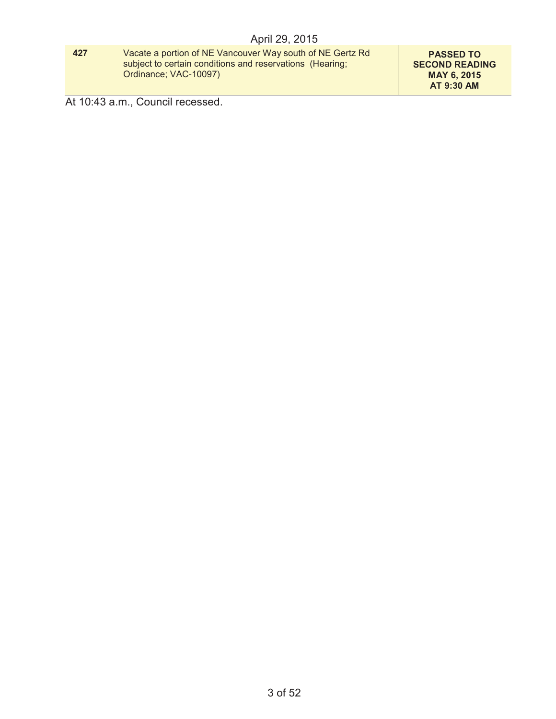#### **427** Vacate a portion of NE Vancouver Way south of NE Gertz Rd subject to certain conditions and reservations (Hearing; Ordinance; VAC-10097)

**PASSED TO SECOND READING MAY 6, 2015 AT 9:30 AM**

At 10:43 a.m., Council recessed.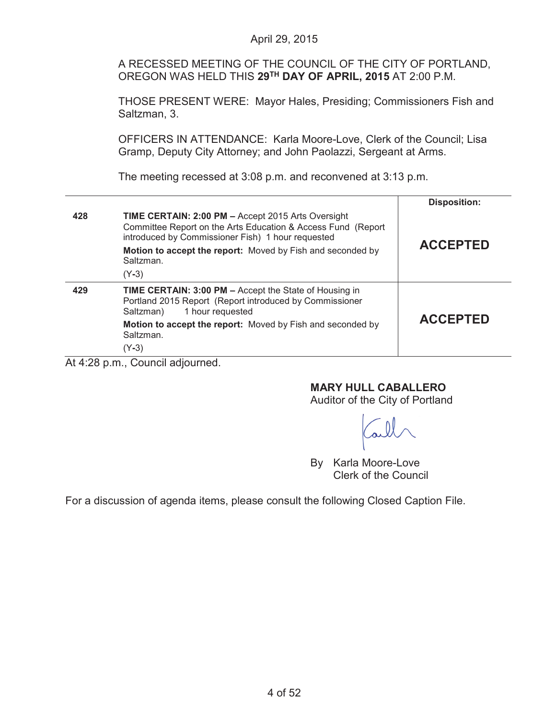A RECESSED MEETING OF THE COUNCIL OF THE CITY OF PORTLAND, OREGON WAS HELD THIS **29TH DAY OF APRIL, 2015** AT 2:00 P.M.

THOSE PRESENT WERE: Mayor Hales, Presiding; Commissioners Fish and Saltzman, 3.

OFFICERS IN ATTENDANCE: Karla Moore-Love, Clerk of the Council; Lisa Gramp, Deputy City Attorney; and John Paolazzi, Sergeant at Arms.

The meeting recessed at 3:08 p.m. and reconvened at 3:13 p.m.

|          |                                                                                                                                                                                                                                                           | <b>Disposition:</b> |
|----------|-----------------------------------------------------------------------------------------------------------------------------------------------------------------------------------------------------------------------------------------------------------|---------------------|
| 428      | <b>TIME CERTAIN: 2:00 PM - Accept 2015 Arts Oversight</b><br>Committee Report on the Arts Education & Access Fund (Report<br>introduced by Commissioner Fish) 1 hour requested<br>Motion to accept the report: Moved by Fish and seconded by<br>Saltzman. | <b>ACCEPTED</b>     |
|          | $(Y-3)$                                                                                                                                                                                                                                                   |                     |
| 429      | TIME CERTAIN: 3:00 PM - Accept the State of Housing in<br>Portland 2015 Report (Report introduced by Commissioner<br>1 hour requested<br>Saltzman)                                                                                                        | <b>ACCEPTED</b>     |
|          | Motion to accept the report: Moved by Fish and seconded by<br>Saltzman.                                                                                                                                                                                   |                     |
|          | $(Y-3)$                                                                                                                                                                                                                                                   |                     |
| $\cdots$ | $\sim$                                                                                                                                                                                                                                                    |                     |

At 4:28 p.m., Council adjourned.

## **MARY HULL CABALLERO**

Auditor of the City of Portland

By Karla Moore-Love Clerk of the Council

For a discussion of agenda items, please consult the following Closed Caption File.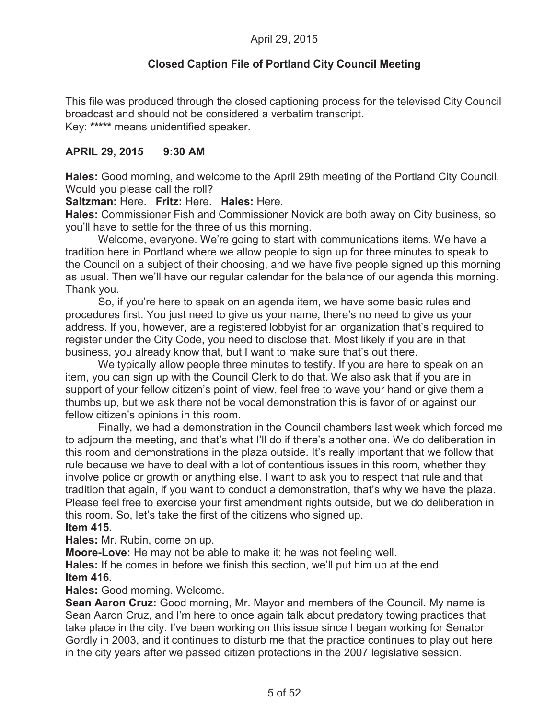# **Closed Caption File of Portland City Council Meeting**

This file was produced through the closed captioning process for the televised City Council broadcast and should not be considered a verbatim transcript. Key: **\*\*\*\*\*** means unidentified speaker.

### **APRIL 29, 2015 9:30 AM**

**Hales:** Good morning, and welcome to the April 29th meeting of the Portland City Council. Would you please call the roll?

**Saltzman:** Here. **Fritz:** Here. **Hales:** Here.

**Hales:** Commissioner Fish and Commissioner Novick are both away on City business, so you'll have to settle for the three of us this morning.

Welcome, everyone. We're going to start with communications items. We have a tradition here in Portland where we allow people to sign up for three minutes to speak to the Council on a subject of their choosing, and we have five people signed up this morning as usual. Then we'll have our regular calendar for the balance of our agenda this morning. Thank you.

So, if you're here to speak on an agenda item, we have some basic rules and procedures first. You just need to give us your name, there's no need to give us your address. If you, however, are a registered lobbyist for an organization that's required to register under the City Code, you need to disclose that. Most likely if you are in that business, you already know that, but I want to make sure that's out there.

We typically allow people three minutes to testify. If you are here to speak on an item, you can sign up with the Council Clerk to do that. We also ask that if you are in support of your fellow citizen's point of view, feel free to wave your hand or give them a thumbs up, but we ask there not be vocal demonstration this is favor of or against our fellow citizen's opinions in this room.

Finally, we had a demonstration in the Council chambers last week which forced me to adjourn the meeting, and that's what I'll do if there's another one. We do deliberation in this room and demonstrations in the plaza outside. It's really important that we follow that rule because we have to deal with a lot of contentious issues in this room, whether they involve police or growth or anything else. I want to ask you to respect that rule and that tradition that again, if you want to conduct a demonstration, that's why we have the plaza. Please feel free to exercise your first amendment rights outside, but we do deliberation in this room. So, let's take the first of the citizens who signed up. **Item 415.**

**Hales:** Mr. Rubin, come on up.

**Moore-Love:** He may not be able to make it; he was not feeling well.

**Hales:** If he comes in before we finish this section, we'll put him up at the end. **Item 416.**

**Hales:** Good morning. Welcome.

**Sean Aaron Cruz:** Good morning, Mr. Mayor and members of the Council. My name is Sean Aaron Cruz, and I'm here to once again talk about predatory towing practices that take place in the city. I've been working on this issue since I began working for Senator Gordly in 2003, and it continues to disturb me that the practice continues to play out here in the city years after we passed citizen protections in the 2007 legislative session.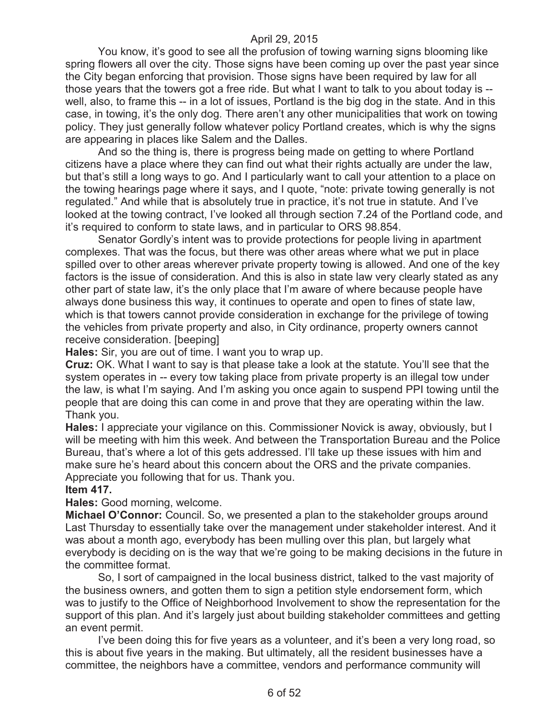You know, it's good to see all the profusion of towing warning signs blooming like spring flowers all over the city. Those signs have been coming up over the past year since the City began enforcing that provision. Those signs have been required by law for all those years that the towers got a free ride. But what I want to talk to you about today is - well, also, to frame this -- in a lot of issues, Portland is the big dog in the state. And in this case, in towing, it's the only dog. There aren't any other municipalities that work on towing policy. They just generally follow whatever policy Portland creates, which is why the signs are appearing in places like Salem and the Dalles.

And so the thing is, there is progress being made on getting to where Portland citizens have a place where they can find out what their rights actually are under the law, but that's still a long ways to go. And I particularly want to call your attention to a place on the towing hearings page where it says, and I quote, "note: private towing generally is not regulated." And while that is absolutely true in practice, it's not true in statute. And I've looked at the towing contract, I've looked all through section 7.24 of the Portland code, and it's required to conform to state laws, and in particular to ORS 98.854.

Senator Gordly's intent was to provide protections for people living in apartment complexes. That was the focus, but there was other areas where what we put in place spilled over to other areas wherever private property towing is allowed. And one of the key factors is the issue of consideration. And this is also in state law very clearly stated as any other part of state law, it's the only place that I'm aware of where because people have always done business this way, it continues to operate and open to fines of state law, which is that towers cannot provide consideration in exchange for the privilege of towing the vehicles from private property and also, in City ordinance, property owners cannot receive consideration. [beeping]

**Hales:** Sir, you are out of time. I want you to wrap up.

**Cruz:** OK. What I want to say is that please take a look at the statute. You'll see that the system operates in -- every tow taking place from private property is an illegal tow under the law, is what I'm saying. And I'm asking you once again to suspend PPI towing until the people that are doing this can come in and prove that they are operating within the law. Thank you.

**Hales:** I appreciate your vigilance on this. Commissioner Novick is away, obviously, but I will be meeting with him this week. And between the Transportation Bureau and the Police Bureau, that's where a lot of this gets addressed. I'll take up these issues with him and make sure he's heard about this concern about the ORS and the private companies. Appreciate you following that for us. Thank you.

#### **Item 417.**

**Hales:** Good morning, welcome.

**Michael O'Connor:** Council. So, we presented a plan to the stakeholder groups around Last Thursday to essentially take over the management under stakeholder interest. And it was about a month ago, everybody has been mulling over this plan, but largely what everybody is deciding on is the way that we're going to be making decisions in the future in the committee format.

So, I sort of campaigned in the local business district, talked to the vast majority of the business owners, and gotten them to sign a petition style endorsement form, which was to justify to the Office of Neighborhood Involvement to show the representation for the support of this plan. And it's largely just about building stakeholder committees and getting an event permit.

I've been doing this for five years as a volunteer, and it's been a very long road, so this is about five years in the making. But ultimately, all the resident businesses have a committee, the neighbors have a committee, vendors and performance community will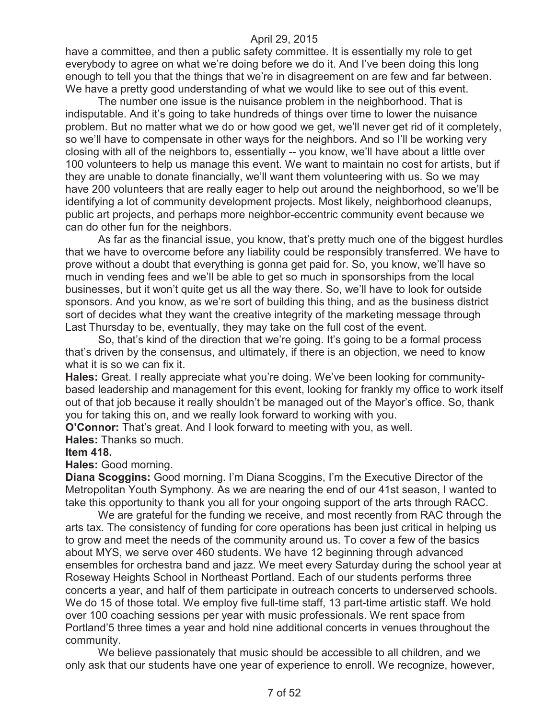have a committee, and then a public safety committee. It is essentially my role to get everybody to agree on what we're doing before we do it. And I've been doing this long enough to tell you that the things that we're in disagreement on are few and far between. We have a pretty good understanding of what we would like to see out of this event.

The number one issue is the nuisance problem in the neighborhood. That is indisputable. And it's going to take hundreds of things over time to lower the nuisance problem. But no matter what we do or how good we get, we'll never get rid of it completely, so we'll have to compensate in other ways for the neighbors. And so I'll be working very closing with all of the neighbors to, essentially -- you know, we'll have about a little over 100 volunteers to help us manage this event. We want to maintain no cost for artists, but if they are unable to donate financially, we'll want them volunteering with us. So we may have 200 volunteers that are really eager to help out around the neighborhood, so we'll be identifying a lot of community development projects. Most likely, neighborhood cleanups, public art projects, and perhaps more neighbor-eccentric community event because we can do other fun for the neighbors.

As far as the financial issue, you know, that's pretty much one of the biggest hurdles that we have to overcome before any liability could be responsibly transferred. We have to prove without a doubt that everything is gonna get paid for. So, you know, we'll have so much in vending fees and we'll be able to get so much in sponsorships from the local businesses, but it won't quite get us all the way there. So, we'll have to look for outside sponsors. And you know, as we're sort of building this thing, and as the business district sort of decides what they want the creative integrity of the marketing message through Last Thursday to be, eventually, they may take on the full cost of the event.

So, that's kind of the direction that we're going. It's going to be a formal process that's driven by the consensus, and ultimately, if there is an objection, we need to know what it is so we can fix it.

**Hales:** Great. I really appreciate what you're doing. We've been looking for communitybased leadership and management for this event, looking for frankly my office to work itself out of that job because it really shouldn't be managed out of the Mayor's office. So, thank you for taking this on, and we really look forward to working with you.

**O'Connor:** That's great. And I look forward to meeting with you, as well.

**Hales:** Thanks so much.

#### **Item 418.**

**Hales:** Good morning.

**Diana Scoggins:** Good morning. I'm Diana Scoggins, I'm the Executive Director of the Metropolitan Youth Symphony. As we are nearing the end of our 41st season, I wanted to take this opportunity to thank you all for your ongoing support of the arts through RACC.

We are grateful for the funding we receive, and most recently from RAC through the arts tax. The consistency of funding for core operations has been just critical in helping us to grow and meet the needs of the community around us. To cover a few of the basics about MYS, we serve over 460 students. We have 12 beginning through advanced ensembles for orchestra band and jazz. We meet every Saturday during the school year at Roseway Heights School in Northeast Portland. Each of our students performs three concerts a year, and half of them participate in outreach concerts to underserved schools. We do 15 of those total. We employ five full-time staff, 13 part-time artistic staff. We hold over 100 coaching sessions per year with music professionals. We rent space from Portland'5 three times a year and hold nine additional concerts in venues throughout the community.

We believe passionately that music should be accessible to all children, and we only ask that our students have one year of experience to enroll. We recognize, however,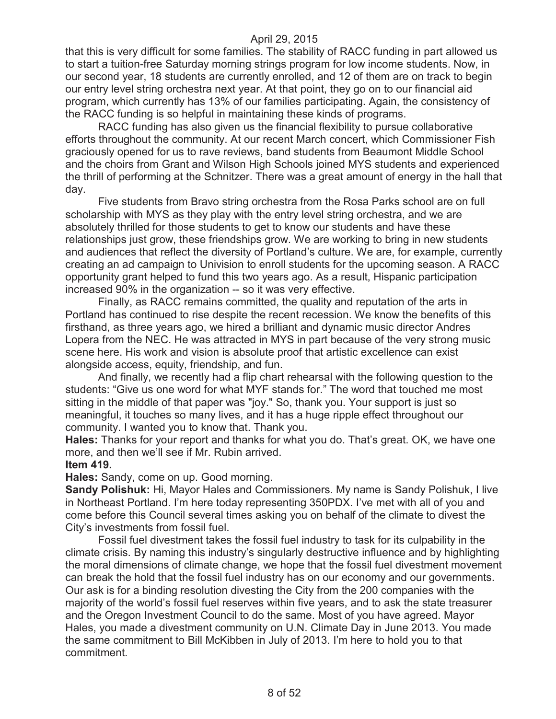that this is very difficult for some families. The stability of RACC funding in part allowed us to start a tuition-free Saturday morning strings program for low income students. Now, in our second year, 18 students are currently enrolled, and 12 of them are on track to begin our entry level string orchestra next year. At that point, they go on to our financial aid program, which currently has 13% of our families participating. Again, the consistency of the RACC funding is so helpful in maintaining these kinds of programs.

RACC funding has also given us the financial flexibility to pursue collaborative efforts throughout the community. At our recent March concert, which Commissioner Fish graciously opened for us to rave reviews, band students from Beaumont Middle School and the choirs from Grant and Wilson High Schools joined MYS students and experienced the thrill of performing at the Schnitzer. There was a great amount of energy in the hall that day.

Five students from Bravo string orchestra from the Rosa Parks school are on full scholarship with MYS as they play with the entry level string orchestra, and we are absolutely thrilled for those students to get to know our students and have these relationships just grow, these friendships grow. We are working to bring in new students and audiences that reflect the diversity of Portland's culture. We are, for example, currently creating an ad campaign to Univision to enroll students for the upcoming season. A RACC opportunity grant helped to fund this two years ago. As a result, Hispanic participation increased 90% in the organization -- so it was very effective.

Finally, as RACC remains committed, the quality and reputation of the arts in Portland has continued to rise despite the recent recession. We know the benefits of this firsthand, as three years ago, we hired a brilliant and dynamic music director Andres Lopera from the NEC. He was attracted in MYS in part because of the very strong music scene here. His work and vision is absolute proof that artistic excellence can exist alongside access, equity, friendship, and fun.

And finally, we recently had a flip chart rehearsal with the following question to the students: "Give us one word for what MYF stands for." The word that touched me most sitting in the middle of that paper was "joy." So, thank you. Your support is just so meaningful, it touches so many lives, and it has a huge ripple effect throughout our community. I wanted you to know that. Thank you.

**Hales:** Thanks for your report and thanks for what you do. That's great. OK, we have one more, and then we'll see if Mr. Rubin arrived.

#### **Item 419.**

**Hales:** Sandy, come on up. Good morning.

**Sandy Polishuk:** Hi, Mayor Hales and Commissioners. My name is Sandy Polishuk, I live in Northeast Portland. I'm here today representing 350PDX. I've met with all of you and come before this Council several times asking you on behalf of the climate to divest the City's investments from fossil fuel.

Fossil fuel divestment takes the fossil fuel industry to task for its culpability in the climate crisis. By naming this industry's singularly destructive influence and by highlighting the moral dimensions of climate change, we hope that the fossil fuel divestment movement can break the hold that the fossil fuel industry has on our economy and our governments. Our ask is for a binding resolution divesting the City from the 200 companies with the majority of the world's fossil fuel reserves within five years, and to ask the state treasurer and the Oregon Investment Council to do the same. Most of you have agreed. Mayor Hales, you made a divestment community on U.N. Climate Day in June 2013. You made the same commitment to Bill McKibben in July of 2013. I'm here to hold you to that commitment.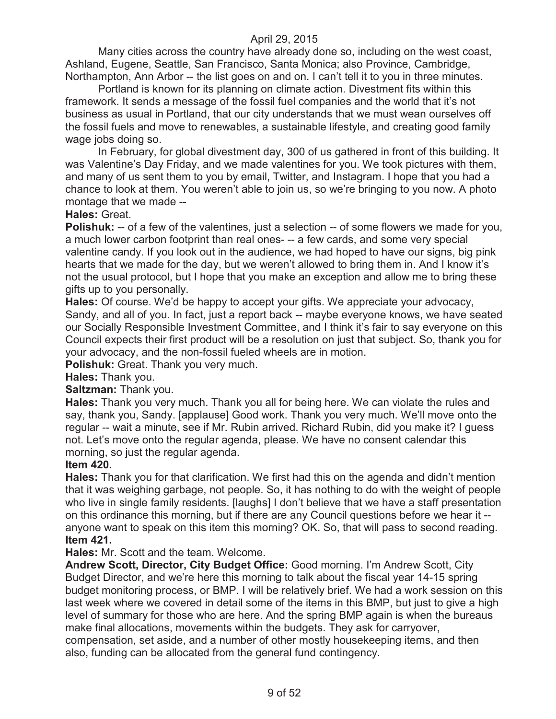Many cities across the country have already done so, including on the west coast, Ashland, Eugene, Seattle, San Francisco, Santa Monica; also Province, Cambridge, Northampton, Ann Arbor -- the list goes on and on. I can't tell it to you in three minutes.

Portland is known for its planning on climate action. Divestment fits within this framework. It sends a message of the fossil fuel companies and the world that it's not business as usual in Portland, that our city understands that we must wean ourselves off the fossil fuels and move to renewables, a sustainable lifestyle, and creating good family wage jobs doing so.

In February, for global divestment day, 300 of us gathered in front of this building. It was Valentine's Day Friday, and we made valentines for you. We took pictures with them, and many of us sent them to you by email, Twitter, and Instagram. I hope that you had a chance to look at them. You weren't able to join us, so we're bringing to you now. A photo montage that we made --

### **Hales:** Great.

**Polishuk:** -- of a few of the valentines, just a selection -- of some flowers we made for you, a much lower carbon footprint than real ones- -- a few cards, and some very special valentine candy. If you look out in the audience, we had hoped to have our signs, big pink hearts that we made for the day, but we weren't allowed to bring them in. And I know it's not the usual protocol, but I hope that you make an exception and allow me to bring these gifts up to you personally.

**Hales:** Of course. We'd be happy to accept your gifts. We appreciate your advocacy, Sandy, and all of you. In fact, just a report back -- maybe everyone knows, we have seated our Socially Responsible Investment Committee, and I think it's fair to say everyone on this Council expects their first product will be a resolution on just that subject. So, thank you for your advocacy, and the non-fossil fueled wheels are in motion.

**Polishuk:** Great. Thank you very much.

**Hales:** Thank you.

#### **Saltzman:** Thank you.

**Hales:** Thank you very much. Thank you all for being here. We can violate the rules and say, thank you, Sandy. [applause] Good work. Thank you very much. We'll move onto the regular -- wait a minute, see if Mr. Rubin arrived. Richard Rubin, did you make it? I guess not. Let's move onto the regular agenda, please. We have no consent calendar this morning, so just the regular agenda.

#### **Item 420.**

**Hales:** Thank you for that clarification. We first had this on the agenda and didn't mention that it was weighing garbage, not people. So, it has nothing to do with the weight of people who live in single family residents. [laughs] I don't believe that we have a staff presentation on this ordinance this morning, but if there are any Council questions before we hear it - anyone want to speak on this item this morning? OK. So, that will pass to second reading. **Item 421.**

#### **Hales:** Mr. Scott and the team. Welcome.

**Andrew Scott, Director, City Budget Office:** Good morning. I'm Andrew Scott, City Budget Director, and we're here this morning to talk about the fiscal year 14-15 spring budget monitoring process, or BMP. I will be relatively brief. We had a work session on this last week where we covered in detail some of the items in this BMP, but just to give a high level of summary for those who are here. And the spring BMP again is when the bureaus make final allocations, movements within the budgets. They ask for carryover, compensation, set aside, and a number of other mostly housekeeping items, and then also, funding can be allocated from the general fund contingency.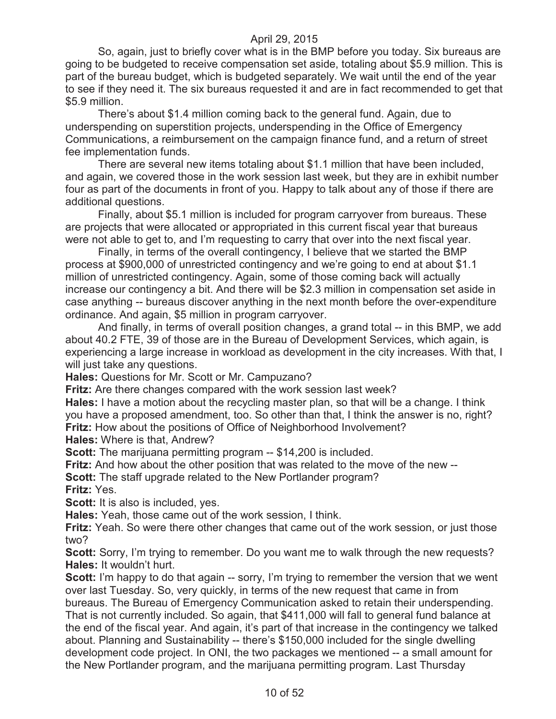So, again, just to briefly cover what is in the BMP before you today. Six bureaus are going to be budgeted to receive compensation set aside, totaling about \$5.9 million. This is part of the bureau budget, which is budgeted separately. We wait until the end of the year to see if they need it. The six bureaus requested it and are in fact recommended to get that \$5.9 million.

There's about \$1.4 million coming back to the general fund. Again, due to underspending on superstition projects, underspending in the Office of Emergency Communications, a reimbursement on the campaign finance fund, and a return of street fee implementation funds.

There are several new items totaling about \$1.1 million that have been included, and again, we covered those in the work session last week, but they are in exhibit number four as part of the documents in front of you. Happy to talk about any of those if there are additional questions.

Finally, about \$5.1 million is included for program carryover from bureaus. These are projects that were allocated or appropriated in this current fiscal year that bureaus were not able to get to, and I'm requesting to carry that over into the next fiscal year.

Finally, in terms of the overall contingency, I believe that we started the BMP process at \$900,000 of unrestricted contingency and we're going to end at about \$1.1 million of unrestricted contingency. Again, some of those coming back will actually increase our contingency a bit. And there will be \$2.3 million in compensation set aside in case anything -- bureaus discover anything in the next month before the over-expenditure ordinance. And again, \$5 million in program carryover.

And finally, in terms of overall position changes, a grand total -- in this BMP, we add about 40.2 FTE, 39 of those are in the Bureau of Development Services, which again, is experiencing a large increase in workload as development in the city increases. With that, I will just take any questions.

**Hales:** Questions for Mr. Scott or Mr. Campuzano?

**Fritz:** Are there changes compared with the work session last week?

**Hales:** I have a motion about the recycling master plan, so that will be a change. I think you have a proposed amendment, too. So other than that, I think the answer is no, right? **Fritz:** How about the positions of Office of Neighborhood Involvement?

**Hales:** Where is that, Andrew?

**Scott:** The marijuana permitting program -- \$14,200 is included.

**Fritz:** And how about the other position that was related to the move of the new --

**Scott:** The staff upgrade related to the New Portlander program?

**Fritz:** Yes.

**Scott:** It is also is included, yes.

**Hales:** Yeah, those came out of the work session, I think.

**Fritz:** Yeah. So were there other changes that came out of the work session, or just those two?

**Scott:** Sorry, I'm trying to remember. Do you want me to walk through the new requests? **Hales:** It wouldn't hurt.

**Scott:** I'm happy to do that again -- sorry, I'm trying to remember the version that we went over last Tuesday. So, very quickly, in terms of the new request that came in from bureaus. The Bureau of Emergency Communication asked to retain their underspending. That is not currently included. So again, that \$411,000 will fall to general fund balance at the end of the fiscal year. And again, it's part of that increase in the contingency we talked about. Planning and Sustainability -- there's \$150,000 included for the single dwelling development code project. In ONI, the two packages we mentioned -- a small amount for the New Portlander program, and the marijuana permitting program. Last Thursday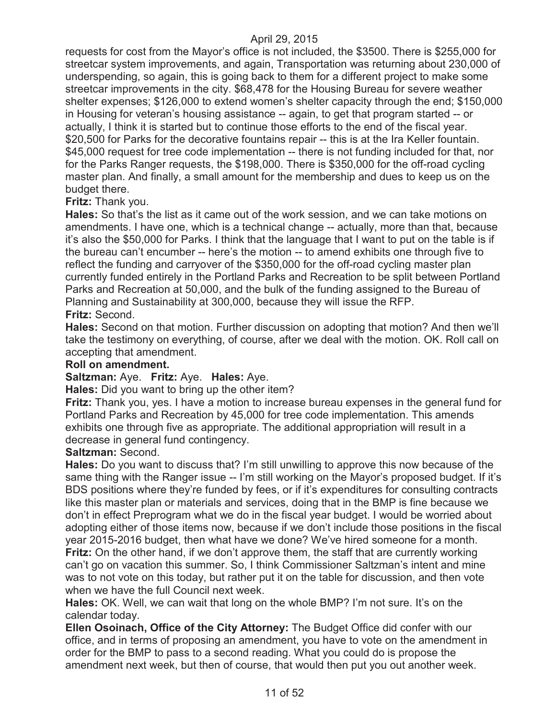requests for cost from the Mayor's office is not included, the \$3500. There is \$255,000 for streetcar system improvements, and again, Transportation was returning about 230,000 of underspending, so again, this is going back to them for a different project to make some streetcar improvements in the city. \$68,478 for the Housing Bureau for severe weather shelter expenses; \$126,000 to extend women's shelter capacity through the end; \$150,000 in Housing for veteran's housing assistance -- again, to get that program started -- or actually, I think it is started but to continue those efforts to the end of the fiscal year. \$20,500 for Parks for the decorative fountains repair -- this is at the Ira Keller fountain. \$45,000 request for tree code implementation -- there is not funding included for that, nor for the Parks Ranger requests, the \$198,000. There is \$350,000 for the off-road cycling master plan. And finally, a small amount for the membership and dues to keep us on the budget there.

#### **Fritz:** Thank you.

**Hales:** So that's the list as it came out of the work session, and we can take motions on amendments. I have one, which is a technical change -- actually, more than that, because it's also the \$50,000 for Parks. I think that the language that I want to put on the table is if the bureau can't encumber -- here's the motion -- to amend exhibits one through five to reflect the funding and carryover of the \$350,000 for the off-road cycling master plan currently funded entirely in the Portland Parks and Recreation to be split between Portland Parks and Recreation at 50,000, and the bulk of the funding assigned to the Bureau of Planning and Sustainability at 300,000, because they will issue the RFP. **Fritz:** Second.

**Hales:** Second on that motion. Further discussion on adopting that motion? And then we'll take the testimony on everything, of course, after we deal with the motion. OK. Roll call on accepting that amendment.

#### **Roll on amendment.**

#### **Saltzman:** Aye. **Fritz:** Aye. **Hales:** Aye.

**Hales:** Did you want to bring up the other item?

**Fritz:** Thank you, yes. I have a motion to increase bureau expenses in the general fund for Portland Parks and Recreation by 45,000 for tree code implementation. This amends exhibits one through five as appropriate. The additional appropriation will result in a decrease in general fund contingency.

#### **Saltzman:** Second.

**Hales:** Do you want to discuss that? I'm still unwilling to approve this now because of the same thing with the Ranger issue -- I'm still working on the Mayor's proposed budget. If it's BDS positions where they're funded by fees, or if it's expenditures for consulting contracts like this master plan or materials and services, doing that in the BMP is fine because we don't in effect Preprogram what we do in the fiscal year budget. I would be worried about adopting either of those items now, because if we don't include those positions in the fiscal year 2015-2016 budget, then what have we done? We've hired someone for a month. **Fritz:** On the other hand, if we don't approve them, the staff that are currently working can't go on vacation this summer. So, I think Commissioner Saltzman's intent and mine was to not vote on this today, but rather put it on the table for discussion, and then vote when we have the full Council next week.

**Hales:** OK. Well, we can wait that long on the whole BMP? I'm not sure. It's on the calendar today.

**Ellen Osoinach, Office of the City Attorney:** The Budget Office did confer with our office, and in terms of proposing an amendment, you have to vote on the amendment in order for the BMP to pass to a second reading. What you could do is propose the amendment next week, but then of course, that would then put you out another week.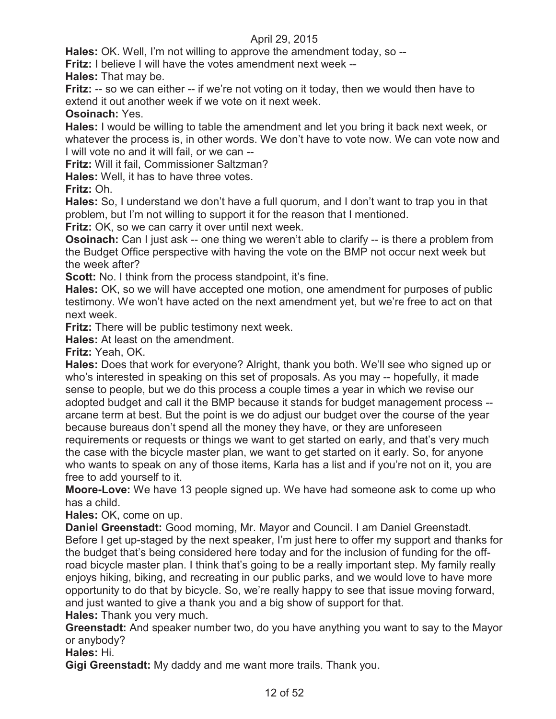**Hales:** OK. Well, I'm not willing to approve the amendment today, so --

**Fritz:** I believe I will have the votes amendment next week --

**Hales:** That may be.

**Fritz:** -- so we can either -- if we're not voting on it today, then we would then have to extend it out another week if we vote on it next week.

**Osoinach:** Yes.

**Hales:** I would be willing to table the amendment and let you bring it back next week, or whatever the process is, in other words. We don't have to vote now. We can vote now and I will vote no and it will fail, or we can --

**Fritz:** Will it fail, Commissioner Saltzman?

**Hales:** Well, it has to have three votes.

**Fritz:** Oh.

**Hales:** So, I understand we don't have a full quorum, and I don't want to trap you in that problem, but I'm not willing to support it for the reason that I mentioned.

**Fritz:** OK, so we can carry it over until next week.

**Osoinach:** Can I just ask -- one thing we weren't able to clarify -- is there a problem from the Budget Office perspective with having the vote on the BMP not occur next week but the week after?

**Scott:** No. I think from the process standpoint, it's fine.

**Hales:** OK, so we will have accepted one motion, one amendment for purposes of public testimony. We won't have acted on the next amendment yet, but we're free to act on that next week.

**Fritz:** There will be public testimony next week.

**Hales:** At least on the amendment.

**Fritz:** Yeah, OK.

**Hales:** Does that work for everyone? Alright, thank you both. We'll see who signed up or who's interested in speaking on this set of proposals. As you may -- hopefully, it made sense to people, but we do this process a couple times a year in which we revise our adopted budget and call it the BMP because it stands for budget management process - arcane term at best. But the point is we do adjust our budget over the course of the year because bureaus don't spend all the money they have, or they are unforeseen requirements or requests or things we want to get started on early, and that's very much the case with the bicycle master plan, we want to get started on it early. So, for anyone who wants to speak on any of those items, Karla has a list and if you're not on it, you are free to add yourself to it.

**Moore-Love:** We have 13 people signed up. We have had someone ask to come up who has a child.

**Hales:** OK, come on up.

**Daniel Greenstadt:** Good morning, Mr. Mayor and Council. I am Daniel Greenstadt. Before I get up-staged by the next speaker, I'm just here to offer my support and thanks for the budget that's being considered here today and for the inclusion of funding for the offroad bicycle master plan. I think that's going to be a really important step. My family really enjoys hiking, biking, and recreating in our public parks, and we would love to have more opportunity to do that by bicycle. So, we're really happy to see that issue moving forward, and just wanted to give a thank you and a big show of support for that.

**Hales:** Thank you very much.

**Greenstadt:** And speaker number two, do you have anything you want to say to the Mayor or anybody?

**Hales:** Hi.

**Gigi Greenstadt:** My daddy and me want more trails. Thank you.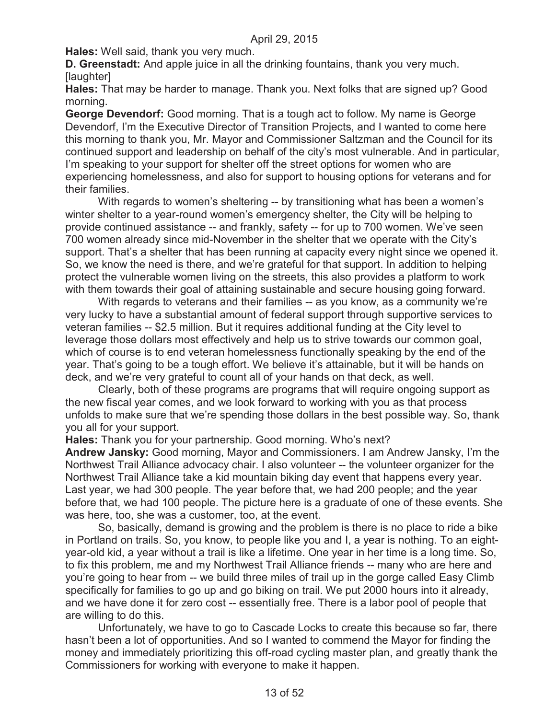**Hales:** Well said, thank you very much.

**D. Greenstadt:** And apple juice in all the drinking fountains, thank you very much. [laughter]

**Hales:** That may be harder to manage. Thank you. Next folks that are signed up? Good morning.

**George Devendorf:** Good morning. That is a tough act to follow. My name is George Devendorf, I'm the Executive Director of Transition Projects, and I wanted to come here this morning to thank you, Mr. Mayor and Commissioner Saltzman and the Council for its continued support and leadership on behalf of the city's most vulnerable. And in particular, I'm speaking to your support for shelter off the street options for women who are experiencing homelessness, and also for support to housing options for veterans and for their families.

With regards to women's sheltering -- by transitioning what has been a women's winter shelter to a year-round women's emergency shelter, the City will be helping to provide continued assistance -- and frankly, safety -- for up to 700 women. We've seen 700 women already since mid-November in the shelter that we operate with the City's support. That's a shelter that has been running at capacity every night since we opened it. So, we know the need is there, and we're grateful for that support. In addition to helping protect the vulnerable women living on the streets, this also provides a platform to work with them towards their goal of attaining sustainable and secure housing going forward.

With regards to veterans and their families -- as you know, as a community we're very lucky to have a substantial amount of federal support through supportive services to veteran families -- \$2.5 million. But it requires additional funding at the City level to leverage those dollars most effectively and help us to strive towards our common goal, which of course is to end veteran homelessness functionally speaking by the end of the year. That's going to be a tough effort. We believe it's attainable, but it will be hands on deck, and we're very grateful to count all of your hands on that deck, as well.

Clearly, both of these programs are programs that will require ongoing support as the new fiscal year comes, and we look forward to working with you as that process unfolds to make sure that we're spending those dollars in the best possible way. So, thank you all for your support.

**Hales:** Thank you for your partnership. Good morning. Who's next?

**Andrew Jansky:** Good morning, Mayor and Commissioners. I am Andrew Jansky, I'm the Northwest Trail Alliance advocacy chair. I also volunteer -- the volunteer organizer for the Northwest Trail Alliance take a kid mountain biking day event that happens every year. Last year, we had 300 people. The year before that, we had 200 people; and the year before that, we had 100 people. The picture here is a graduate of one of these events. She was here, too, she was a customer, too, at the event.

So, basically, demand is growing and the problem is there is no place to ride a bike in Portland on trails. So, you know, to people like you and I, a year is nothing. To an eightyear-old kid, a year without a trail is like a lifetime. One year in her time is a long time. So, to fix this problem, me and my Northwest Trail Alliance friends -- many who are here and you're going to hear from -- we build three miles of trail up in the gorge called Easy Climb specifically for families to go up and go biking on trail. We put 2000 hours into it already, and we have done it for zero cost -- essentially free. There is a labor pool of people that are willing to do this.

Unfortunately, we have to go to Cascade Locks to create this because so far, there hasn't been a lot of opportunities. And so I wanted to commend the Mayor for finding the money and immediately prioritizing this off-road cycling master plan, and greatly thank the Commissioners for working with everyone to make it happen.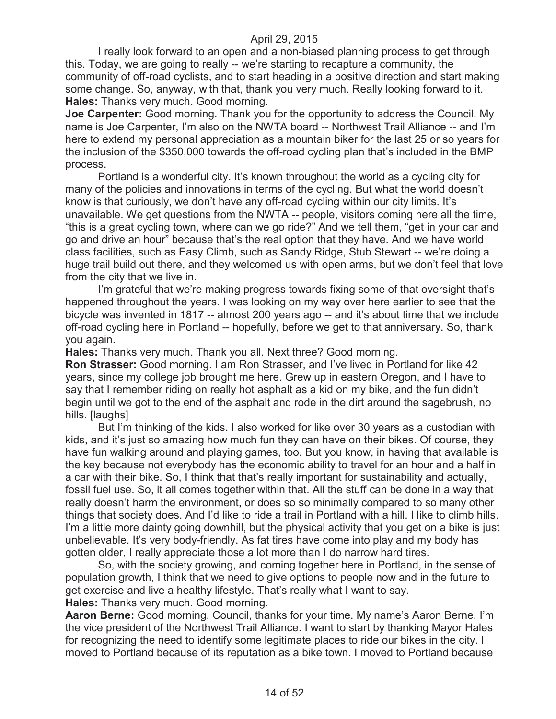I really look forward to an open and a non-biased planning process to get through this. Today, we are going to really -- we're starting to recapture a community, the community of off-road cyclists, and to start heading in a positive direction and start making some change. So, anyway, with that, thank you very much. Really looking forward to it. **Hales:** Thanks very much. Good morning.

**Joe Carpenter:** Good morning. Thank you for the opportunity to address the Council. My name is Joe Carpenter, I'm also on the NWTA board -- Northwest Trail Alliance -- and I'm here to extend my personal appreciation as a mountain biker for the last 25 or so years for the inclusion of the \$350,000 towards the off-road cycling plan that's included in the BMP process.

Portland is a wonderful city. It's known throughout the world as a cycling city for many of the policies and innovations in terms of the cycling. But what the world doesn't know is that curiously, we don't have any off-road cycling within our city limits. It's unavailable. We get questions from the NWTA -- people, visitors coming here all the time, "this is a great cycling town, where can we go ride?" And we tell them, "get in your car and go and drive an hour" because that's the real option that they have. And we have world class facilities, such as Easy Climb, such as Sandy Ridge, Stub Stewart -- we're doing a huge trail build out there, and they welcomed us with open arms, but we don't feel that love from the city that we live in.

I'm grateful that we're making progress towards fixing some of that oversight that's happened throughout the years. I was looking on my way over here earlier to see that the bicycle was invented in 1817 -- almost 200 years ago -- and it's about time that we include off-road cycling here in Portland -- hopefully, before we get to that anniversary. So, thank you again.

**Hales:** Thanks very much. Thank you all. Next three? Good morning.

**Ron Strasser:** Good morning. I am Ron Strasser, and I've lived in Portland for like 42 years, since my college job brought me here. Grew up in eastern Oregon, and I have to say that I remember riding on really hot asphalt as a kid on my bike, and the fun didn't begin until we got to the end of the asphalt and rode in the dirt around the sagebrush, no hills. [laughs]

But I'm thinking of the kids. I also worked for like over 30 years as a custodian with kids, and it's just so amazing how much fun they can have on their bikes. Of course, they have fun walking around and playing games, too. But you know, in having that available is the key because not everybody has the economic ability to travel for an hour and a half in a car with their bike. So, I think that that's really important for sustainability and actually, fossil fuel use. So, it all comes together within that. All the stuff can be done in a way that really doesn't harm the environment, or does so so minimally compared to so many other things that society does. And I'd like to ride a trail in Portland with a hill. I like to climb hills. I'm a little more dainty going downhill, but the physical activity that you get on a bike is just unbelievable. It's very body-friendly. As fat tires have come into play and my body has gotten older, I really appreciate those a lot more than I do narrow hard tires.

So, with the society growing, and coming together here in Portland, in the sense of population growth, I think that we need to give options to people now and in the future to get exercise and live a healthy lifestyle. That's really what I want to say.

**Hales:** Thanks very much. Good morning.

**Aaron Berne:** Good morning, Council, thanks for your time. My name's Aaron Berne, I'm the vice president of the Northwest Trail Alliance. I want to start by thanking Mayor Hales for recognizing the need to identify some legitimate places to ride our bikes in the city. I moved to Portland because of its reputation as a bike town. I moved to Portland because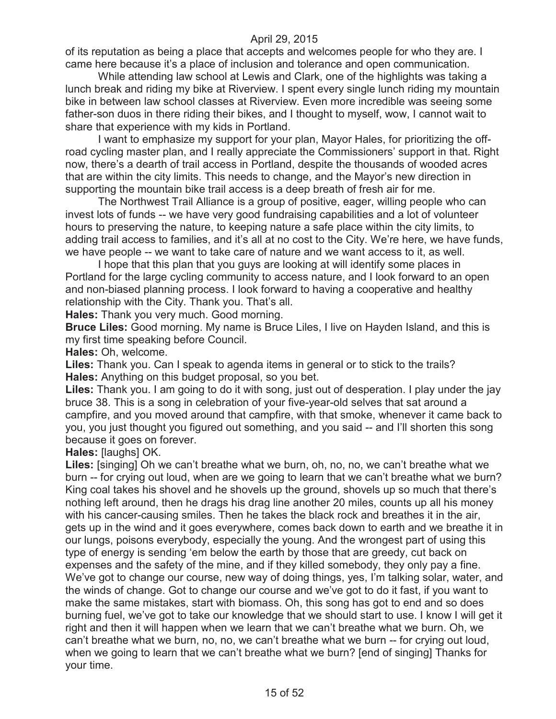of its reputation as being a place that accepts and welcomes people for who they are. I came here because it's a place of inclusion and tolerance and open communication.

While attending law school at Lewis and Clark, one of the highlights was taking a lunch break and riding my bike at Riverview. I spent every single lunch riding my mountain bike in between law school classes at Riverview. Even more incredible was seeing some father-son duos in there riding their bikes, and I thought to myself, wow, I cannot wait to share that experience with my kids in Portland.

I want to emphasize my support for your plan, Mayor Hales, for prioritizing the offroad cycling master plan, and I really appreciate the Commissioners' support in that. Right now, there's a dearth of trail access in Portland, despite the thousands of wooded acres that are within the city limits. This needs to change, and the Mayor's new direction in supporting the mountain bike trail access is a deep breath of fresh air for me.

The Northwest Trail Alliance is a group of positive, eager, willing people who can invest lots of funds -- we have very good fundraising capabilities and a lot of volunteer hours to preserving the nature, to keeping nature a safe place within the city limits, to adding trail access to families, and it's all at no cost to the City. We're here, we have funds, we have people -- we want to take care of nature and we want access to it, as well.

I hope that this plan that you guys are looking at will identify some places in Portland for the large cycling community to access nature, and I look forward to an open and non-biased planning process. I look forward to having a cooperative and healthy relationship with the City. Thank you. That's all.

**Hales:** Thank you very much. Good morning.

**Bruce Liles:** Good morning. My name is Bruce Liles, I live on Hayden Island, and this is my first time speaking before Council.

**Hales:** Oh, welcome.

**Liles:** Thank you. Can I speak to agenda items in general or to stick to the trails? **Hales:** Anything on this budget proposal, so you bet.

**Liles:** Thank you. I am going to do it with song, just out of desperation. I play under the jay bruce 38. This is a song in celebration of your five-year-old selves that sat around a campfire, and you moved around that campfire, with that smoke, whenever it came back to you, you just thought you figured out something, and you said -- and I'll shorten this song because it goes on forever.

**Hales:** [laughs] OK.

Liles: [singing] Oh we can't breathe what we burn, oh, no, no, we can't breathe what we burn -- for crying out loud, when are we going to learn that we can't breathe what we burn? King coal takes his shovel and he shovels up the ground, shovels up so much that there's nothing left around, then he drags his drag line another 20 miles, counts up all his money with his cancer-causing smiles. Then he takes the black rock and breathes it in the air, gets up in the wind and it goes everywhere, comes back down to earth and we breathe it in our lungs, poisons everybody, especially the young. And the wrongest part of using this type of energy is sending 'em below the earth by those that are greedy, cut back on expenses and the safety of the mine, and if they killed somebody, they only pay a fine. We've got to change our course, new way of doing things, yes, I'm talking solar, water, and the winds of change. Got to change our course and we've got to do it fast, if you want to make the same mistakes, start with biomass. Oh, this song has got to end and so does burning fuel, we've got to take our knowledge that we should start to use. I know I will get it right and then it will happen when we learn that we can't breathe what we burn. Oh, we can't breathe what we burn, no, no, we can't breathe what we burn -- for crying out loud, when we going to learn that we can't breathe what we burn? [end of singing] Thanks for your time.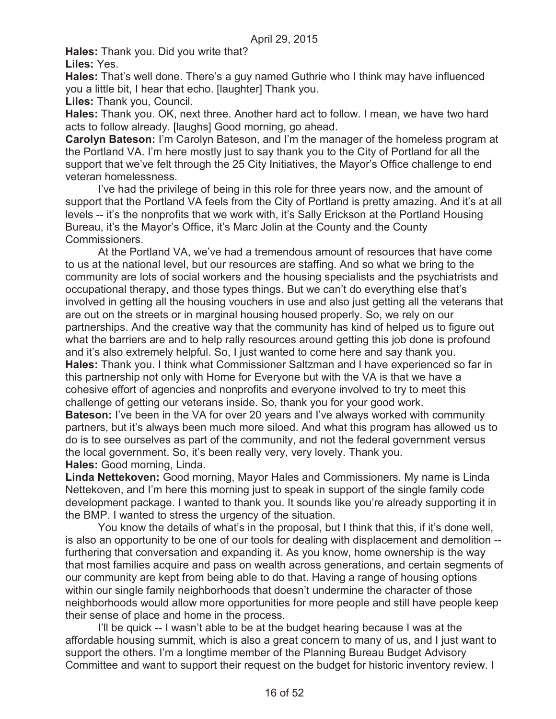**Hales:** Thank you. Did you write that?

**Liles:** Yes.

**Hales:** That's well done. There's a guy named Guthrie who I think may have influenced you a little bit, I hear that echo. [laughter] Thank you.

**Liles:** Thank you, Council.

**Hales:** Thank you. OK, next three. Another hard act to follow. I mean, we have two hard acts to follow already. [laughs] Good morning, go ahead.

**Carolyn Bateson:** I'm Carolyn Bateson, and I'm the manager of the homeless program at the Portland VA. I'm here mostly just to say thank you to the City of Portland for all the support that we've felt through the 25 City Initiatives, the Mayor's Office challenge to end veteran homelessness.

I've had the privilege of being in this role for three years now, and the amount of support that the Portland VA feels from the City of Portland is pretty amazing. And it's at all levels -- it's the nonprofits that we work with, it's Sally Erickson at the Portland Housing Bureau, it's the Mayor's Office, it's Marc Jolin at the County and the County Commissioners.

At the Portland VA, we've had a tremendous amount of resources that have come to us at the national level, but our resources are staffing. And so what we bring to the community are lots of social workers and the housing specialists and the psychiatrists and occupational therapy, and those types things. But we can't do everything else that's involved in getting all the housing vouchers in use and also just getting all the veterans that are out on the streets or in marginal housing housed properly. So, we rely on our partnerships. And the creative way that the community has kind of helped us to figure out what the barriers are and to help rally resources around getting this job done is profound and it's also extremely helpful. So, I just wanted to come here and say thank you. **Hales:** Thank you. I think what Commissioner Saltzman and I have experienced so far in this partnership not only with Home for Everyone but with the VA is that we have a cohesive effort of agencies and nonprofits and everyone involved to try to meet this challenge of getting our veterans inside. So, thank you for your good work. **Bateson:** I've been in the VA for over 20 years and I've always worked with community partners, but it's always been much more siloed. And what this program has allowed us to do is to see ourselves as part of the community, and not the federal government versus the local government. So, it's been really very, very lovely. Thank you. **Hales:** Good morning, Linda.

**Linda Nettekoven:** Good morning, Mayor Hales and Commissioners. My name is Linda Nettekoven, and I'm here this morning just to speak in support of the single family code development package. I wanted to thank you. It sounds like you're already supporting it in the BMP. I wanted to stress the urgency of the situation.

You know the details of what's in the proposal, but I think that this, if it's done well, is also an opportunity to be one of our tools for dealing with displacement and demolition - furthering that conversation and expanding it. As you know, home ownership is the way that most families acquire and pass on wealth across generations, and certain segments of our community are kept from being able to do that. Having a range of housing options within our single family neighborhoods that doesn't undermine the character of those neighborhoods would allow more opportunities for more people and still have people keep their sense of place and home in the process.

I'll be quick -- I wasn't able to be at the budget hearing because I was at the affordable housing summit, which is also a great concern to many of us, and I just want to support the others. I'm a longtime member of the Planning Bureau Budget Advisory Committee and want to support their request on the budget for historic inventory review. I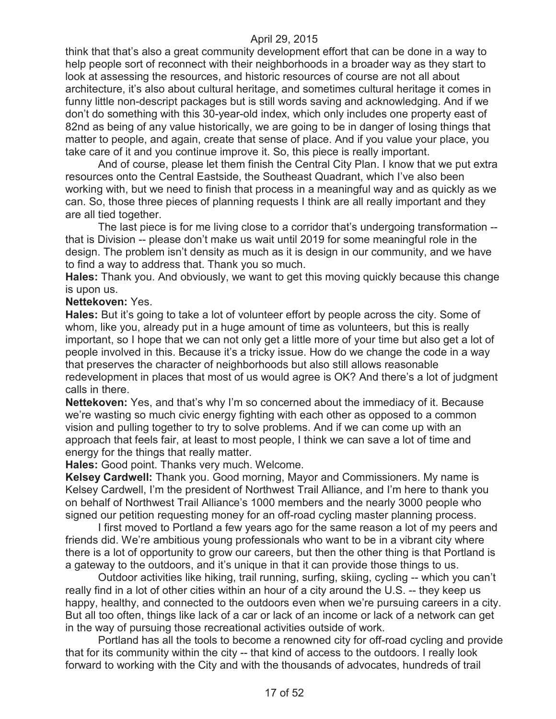think that that's also a great community development effort that can be done in a way to help people sort of reconnect with their neighborhoods in a broader way as they start to look at assessing the resources, and historic resources of course are not all about architecture, it's also about cultural heritage, and sometimes cultural heritage it comes in funny little non-descript packages but is still words saving and acknowledging. And if we don't do something with this 30-year-old index, which only includes one property east of 82nd as being of any value historically, we are going to be in danger of losing things that matter to people, and again, create that sense of place. And if you value your place, you take care of it and you continue improve it. So, this piece is really important.

And of course, please let them finish the Central City Plan. I know that we put extra resources onto the Central Eastside, the Southeast Quadrant, which I've also been working with, but we need to finish that process in a meaningful way and as quickly as we can. So, those three pieces of planning requests I think are all really important and they are all tied together.

The last piece is for me living close to a corridor that's undergoing transformation - that is Division -- please don't make us wait until 2019 for some meaningful role in the design. The problem isn't density as much as it is design in our community, and we have to find a way to address that. Thank you so much.

**Hales:** Thank you. And obviously, we want to get this moving quickly because this change is upon us.

**Nettekoven:** Yes.

**Hales:** But it's going to take a lot of volunteer effort by people across the city. Some of whom, like you, already put in a huge amount of time as volunteers, but this is really important, so I hope that we can not only get a little more of your time but also get a lot of people involved in this. Because it's a tricky issue. How do we change the code in a way that preserves the character of neighborhoods but also still allows reasonable redevelopment in places that most of us would agree is OK? And there's a lot of judgment calls in there.

**Nettekoven:** Yes, and that's why I'm so concerned about the immediacy of it. Because we're wasting so much civic energy fighting with each other as opposed to a common vision and pulling together to try to solve problems. And if we can come up with an approach that feels fair, at least to most people, I think we can save a lot of time and energy for the things that really matter.

**Hales:** Good point. Thanks very much. Welcome.

**Kelsey Cardwell:** Thank you. Good morning, Mayor and Commissioners. My name is Kelsey Cardwell, I'm the president of Northwest Trail Alliance, and I'm here to thank you on behalf of Northwest Trail Alliance's 1000 members and the nearly 3000 people who signed our petition requesting money for an off-road cycling master planning process.

I first moved to Portland a few years ago for the same reason a lot of my peers and friends did. We're ambitious young professionals who want to be in a vibrant city where there is a lot of opportunity to grow our careers, but then the other thing is that Portland is a gateway to the outdoors, and it's unique in that it can provide those things to us.

Outdoor activities like hiking, trail running, surfing, skiing, cycling -- which you can't really find in a lot of other cities within an hour of a city around the U.S. -- they keep us happy, healthy, and connected to the outdoors even when we're pursuing careers in a city. But all too often, things like lack of a car or lack of an income or lack of a network can get in the way of pursuing those recreational activities outside of work.

Portland has all the tools to become a renowned city for off-road cycling and provide that for its community within the city -- that kind of access to the outdoors. I really look forward to working with the City and with the thousands of advocates, hundreds of trail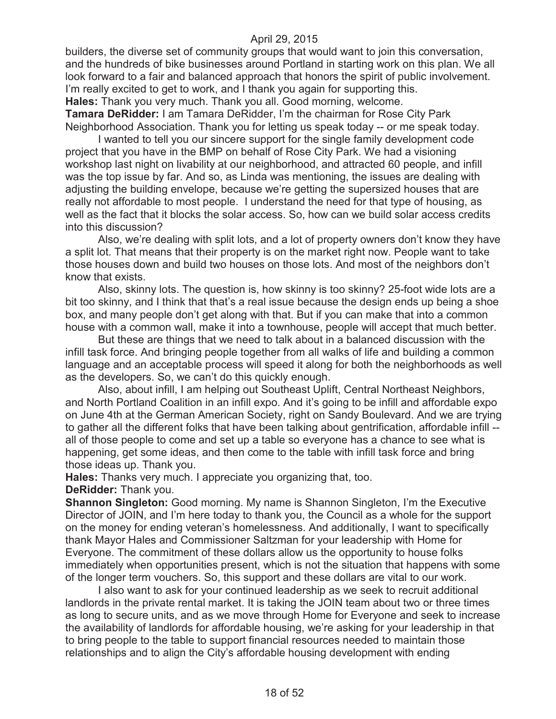builders, the diverse set of community groups that would want to join this conversation, and the hundreds of bike businesses around Portland in starting work on this plan. We all look forward to a fair and balanced approach that honors the spirit of public involvement. I'm really excited to get to work, and I thank you again for supporting this. **Hales:** Thank you very much. Thank you all. Good morning, welcome.

**Tamara DeRidder:** I am Tamara DeRidder, I'm the chairman for Rose City Park Neighborhood Association. Thank you for letting us speak today -- or me speak today.

I wanted to tell you our sincere support for the single family development code project that you have in the BMP on behalf of Rose City Park. We had a visioning workshop last night on livability at our neighborhood, and attracted 60 people, and infill was the top issue by far. And so, as Linda was mentioning, the issues are dealing with adjusting the building envelope, because we're getting the supersized houses that are really not affordable to most people. I understand the need for that type of housing, as well as the fact that it blocks the solar access. So, how can we build solar access credits into this discussion?

Also, we're dealing with split lots, and a lot of property owners don't know they have a split lot. That means that their property is on the market right now. People want to take those houses down and build two houses on those lots. And most of the neighbors don't know that exists.

Also, skinny lots. The question is, how skinny is too skinny? 25-foot wide lots are a bit too skinny, and I think that that's a real issue because the design ends up being a shoe box, and many people don't get along with that. But if you can make that into a common house with a common wall, make it into a townhouse, people will accept that much better.

But these are things that we need to talk about in a balanced discussion with the infill task force. And bringing people together from all walks of life and building a common language and an acceptable process will speed it along for both the neighborhoods as well as the developers. So, we can't do this quickly enough.

Also, about infill, I am helping out Southeast Uplift, Central Northeast Neighbors, and North Portland Coalition in an infill expo. And it's going to be infill and affordable expo on June 4th at the German American Society, right on Sandy Boulevard. And we are trying to gather all the different folks that have been talking about gentrification, affordable infill - all of those people to come and set up a table so everyone has a chance to see what is happening, get some ideas, and then come to the table with infill task force and bring those ideas up. Thank you.

**Hales:** Thanks very much. I appreciate you organizing that, too. **DeRidder:** Thank you.

**Shannon Singleton:** Good morning. My name is Shannon Singleton, I'm the Executive Director of JOIN, and I'm here today to thank you, the Council as a whole for the support on the money for ending veteran's homelessness. And additionally, I want to specifically thank Mayor Hales and Commissioner Saltzman for your leadership with Home for Everyone. The commitment of these dollars allow us the opportunity to house folks immediately when opportunities present, which is not the situation that happens with some of the longer term vouchers. So, this support and these dollars are vital to our work.

I also want to ask for your continued leadership as we seek to recruit additional landlords in the private rental market. It is taking the JOIN team about two or three times as long to secure units, and as we move through Home for Everyone and seek to increase the availability of landlords for affordable housing, we're asking for your leadership in that to bring people to the table to support financial resources needed to maintain those relationships and to align the City's affordable housing development with ending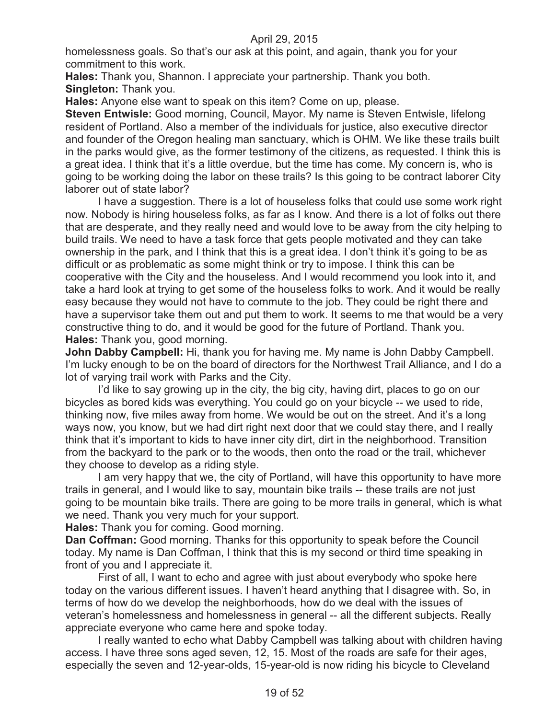homelessness goals. So that's our ask at this point, and again, thank you for your commitment to this work.

**Hales:** Thank you, Shannon. I appreciate your partnership. Thank you both. **Singleton:** Thank you.

**Hales:** Anyone else want to speak on this item? Come on up, please.

**Steven Entwisle:** Good morning, Council, Mayor. My name is Steven Entwisle, lifelong resident of Portland. Also a member of the individuals for justice, also executive director and founder of the Oregon healing man sanctuary, which is OHM. We like these trails built in the parks would give, as the former testimony of the citizens, as requested. I think this is a great idea. I think that it's a little overdue, but the time has come. My concern is, who is going to be working doing the labor on these trails? Is this going to be contract laborer City laborer out of state labor?

I have a suggestion. There is a lot of houseless folks that could use some work right now. Nobody is hiring houseless folks, as far as I know. And there is a lot of folks out there that are desperate, and they really need and would love to be away from the city helping to build trails. We need to have a task force that gets people motivated and they can take ownership in the park, and I think that this is a great idea. I don't think it's going to be as difficult or as problematic as some might think or try to impose. I think this can be cooperative with the City and the houseless. And I would recommend you look into it, and take a hard look at trying to get some of the houseless folks to work. And it would be really easy because they would not have to commute to the job. They could be right there and have a supervisor take them out and put them to work. It seems to me that would be a very constructive thing to do, and it would be good for the future of Portland. Thank you. **Hales:** Thank you, good morning.

**John Dabby Campbell:** Hi, thank you for having me. My name is John Dabby Campbell. I'm lucky enough to be on the board of directors for the Northwest Trail Alliance, and I do a lot of varying trail work with Parks and the City.

I'd like to say growing up in the city, the big city, having dirt, places to go on our bicycles as bored kids was everything. You could go on your bicycle -- we used to ride, thinking now, five miles away from home. We would be out on the street. And it's a long ways now, you know, but we had dirt right next door that we could stay there, and I really think that it's important to kids to have inner city dirt, dirt in the neighborhood. Transition from the backyard to the park or to the woods, then onto the road or the trail, whichever they choose to develop as a riding style.

I am very happy that we, the city of Portland, will have this opportunity to have more trails in general, and I would like to say, mountain bike trails -- these trails are not just going to be mountain bike trails. There are going to be more trails in general, which is what we need. Thank you very much for your support.

**Hales:** Thank you for coming. Good morning.

**Dan Coffman:** Good morning. Thanks for this opportunity to speak before the Council today. My name is Dan Coffman, I think that this is my second or third time speaking in front of you and I appreciate it.

First of all, I want to echo and agree with just about everybody who spoke here today on the various different issues. I haven't heard anything that I disagree with. So, in terms of how do we develop the neighborhoods, how do we deal with the issues of veteran's homelessness and homelessness in general -- all the different subjects. Really appreciate everyone who came here and spoke today.

I really wanted to echo what Dabby Campbell was talking about with children having access. I have three sons aged seven, 12, 15. Most of the roads are safe for their ages, especially the seven and 12-year-olds, 15-year-old is now riding his bicycle to Cleveland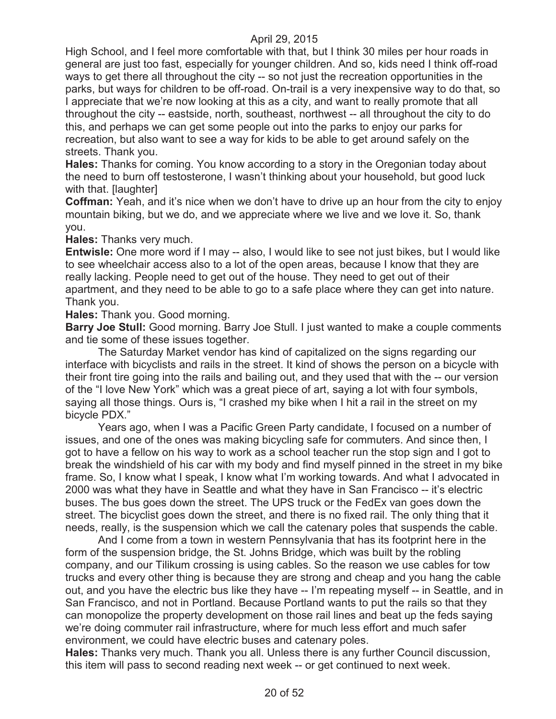High School, and I feel more comfortable with that, but I think 30 miles per hour roads in general are just too fast, especially for younger children. And so, kids need I think off-road ways to get there all throughout the city -- so not just the recreation opportunities in the parks, but ways for children to be off-road. On-trail is a very inexpensive way to do that, so I appreciate that we're now looking at this as a city, and want to really promote that all throughout the city -- eastside, north, southeast, northwest -- all throughout the city to do this, and perhaps we can get some people out into the parks to enjoy our parks for recreation, but also want to see a way for kids to be able to get around safely on the streets. Thank you.

**Hales:** Thanks for coming. You know according to a story in the Oregonian today about the need to burn off testosterone, I wasn't thinking about your household, but good luck with that. [laughter]

**Coffman:** Yeah, and it's nice when we don't have to drive up an hour from the city to enjoy mountain biking, but we do, and we appreciate where we live and we love it. So, thank you.

**Hales:** Thanks very much.

**Entwisle:** One more word if I may -- also, I would like to see not just bikes, but I would like to see wheelchair access also to a lot of the open areas, because I know that they are really lacking. People need to get out of the house. They need to get out of their apartment, and they need to be able to go to a safe place where they can get into nature. Thank you.

**Hales:** Thank you. Good morning.

**Barry Joe Stull:** Good morning. Barry Joe Stull. I just wanted to make a couple comments and tie some of these issues together.

The Saturday Market vendor has kind of capitalized on the signs regarding our interface with bicyclists and rails in the street. It kind of shows the person on a bicycle with their front tire going into the rails and bailing out, and they used that with the -- our version of the "I love New York" which was a great piece of art, saying a lot with four symbols, saying all those things. Ours is, "I crashed my bike when I hit a rail in the street on my bicycle PDX."

Years ago, when I was a Pacific Green Party candidate, I focused on a number of issues, and one of the ones was making bicycling safe for commuters. And since then, I got to have a fellow on his way to work as a school teacher run the stop sign and I got to break the windshield of his car with my body and find myself pinned in the street in my bike frame. So, I know what I speak, I know what I'm working towards. And what I advocated in 2000 was what they have in Seattle and what they have in San Francisco -- it's electric buses. The bus goes down the street. The UPS truck or the FedEx van goes down the street. The bicyclist goes down the street, and there is no fixed rail. The only thing that it needs, really, is the suspension which we call the catenary poles that suspends the cable.

And I come from a town in western Pennsylvania that has its footprint here in the form of the suspension bridge, the St. Johns Bridge, which was built by the robling company, and our Tilikum crossing is using cables. So the reason we use cables for tow trucks and every other thing is because they are strong and cheap and you hang the cable out, and you have the electric bus like they have -- I'm repeating myself -- in Seattle, and in San Francisco, and not in Portland. Because Portland wants to put the rails so that they can monopolize the property development on those rail lines and beat up the feds saying we're doing commuter rail infrastructure, where for much less effort and much safer environment, we could have electric buses and catenary poles.

**Hales:** Thanks very much. Thank you all. Unless there is any further Council discussion, this item will pass to second reading next week -- or get continued to next week.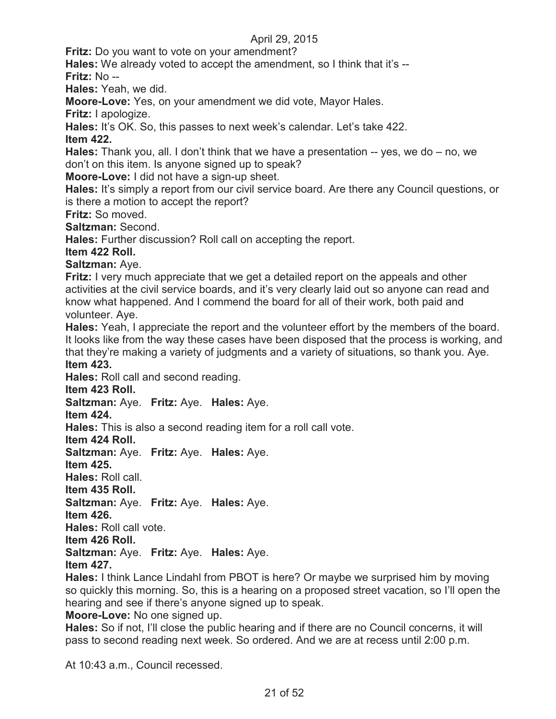**Fritz:** Do you want to vote on your amendment?

**Hales:** We already voted to accept the amendment, so I think that it's -- **Fritz:** No --

**Hales:** Yeah, we did.

**Moore-Love:** Yes, on your amendment we did vote, Mayor Hales.

**Fritz:** I apologize.

**Hales:** It's OK. So, this passes to next week's calendar. Let's take 422.

**Item 422.**

**Hales:** Thank you, all. I don't think that we have a presentation -- yes, we do – no, we don't on this item. Is anyone signed up to speak?

**Moore-Love:** I did not have a sign-up sheet.

**Hales:** It's simply a report from our civil service board. Are there any Council questions, or is there a motion to accept the report?

**Fritz:** So moved.

**Saltzman:** Second.

**Hales:** Further discussion? Roll call on accepting the report.

**Item 422 Roll.**

**Saltzman:** Aye.

**Fritz:** I very much appreciate that we get a detailed report on the appeals and other activities at the civil service boards, and it's very clearly laid out so anyone can read and know what happened. And I commend the board for all of their work, both paid and volunteer. Aye.

**Hales:** Yeah, I appreciate the report and the volunteer effort by the members of the board. It looks like from the way these cases have been disposed that the process is working, and that they're making a variety of judgments and a variety of situations, so thank you. Aye. **Item 423.**

**Hales:** Roll call and second reading.

**Item 423 Roll.**

**Saltzman:** Aye. **Fritz:** Aye. **Hales:** Aye.

**Item 424.**

**Hales:** This is also a second reading item for a roll call vote.

**Item 424 Roll.**

**Saltzman:** Aye. **Fritz:** Aye. **Hales:** Aye.

**Item 425.**

**Hales:** Roll call.

**Item 435 Roll.**

**Saltzman:** Aye. **Fritz:** Aye. **Hales:** Aye.

**Item 426.**

**Hales:** Roll call vote.

**Item 426 Roll.**

**Saltzman:** Aye. **Fritz:** Aye. **Hales:** Aye.

## **Item 427.**

**Hales:** I think Lance Lindahl from PBOT is here? Or maybe we surprised him by moving so quickly this morning. So, this is a hearing on a proposed street vacation, so I'll open the hearing and see if there's anyone signed up to speak.

**Moore-Love:** No one signed up.

**Hales:** So if not, I'll close the public hearing and if there are no Council concerns, it will pass to second reading next week. So ordered. And we are at recess until 2:00 p.m.

At 10:43 a.m., Council recessed.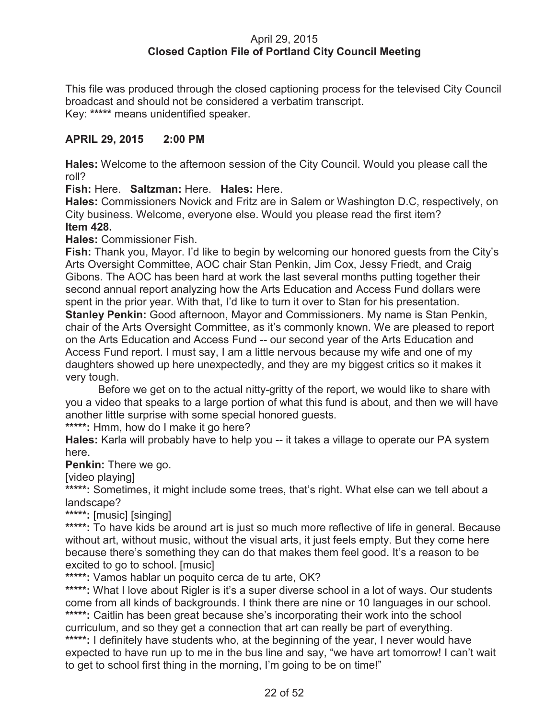### April 29, 2015 **Closed Caption File of Portland City Council Meeting**

This file was produced through the closed captioning process for the televised City Council broadcast and should not be considered a verbatim transcript. Key: **\*\*\*\*\*** means unidentified speaker.

### **APRIL 29, 2015 2:00 PM**

**Hales:** Welcome to the afternoon session of the City Council. Would you please call the roll?

**Fish:** Here. **Saltzman:** Here. **Hales:** Here.

**Hales:** Commissioners Novick and Fritz are in Salem or Washington D.C, respectively, on City business. Welcome, everyone else. Would you please read the first item? **Item 428.**

**Hales:** Commissioner Fish.

**Fish:** Thank you, Mayor. I'd like to begin by welcoming our honored guests from the City's Arts Oversight Committee, AOC chair Stan Penkin, Jim Cox, Jessy Friedt, and Craig Gibons. The AOC has been hard at work the last several months putting together their second annual report analyzing how the Arts Education and Access Fund dollars were spent in the prior year. With that, I'd like to turn it over to Stan for his presentation. **Stanley Penkin:** Good afternoon, Mayor and Commissioners. My name is Stan Penkin, chair of the Arts Oversight Committee, as it's commonly known. We are pleased to report on the Arts Education and Access Fund -- our second year of the Arts Education and Access Fund report. I must say, I am a little nervous because my wife and one of my daughters showed up here unexpectedly, and they are my biggest critics so it makes it very tough.

Before we get on to the actual nitty-gritty of the report, we would like to share with you a video that speaks to a large portion of what this fund is about, and then we will have another little surprise with some special honored guests.

**\*\*\*\*\*:** Hmm, how do I make it go here?

**Hales:** Karla will probably have to help you -- it takes a village to operate our PA system here.

**Penkin:** There we go.

[video playing]

\*\*\*\*\*: Sometimes, it might include some trees, that's right. What else can we tell about a landscape?

**\*\*\*\*\*:** [music] [singing]

\*\*\*\*\*: To have kids be around art is just so much more reflective of life in general. Because without art, without music, without the visual arts, it just feels empty. But they come here because there's something they can do that makes them feel good. It's a reason to be excited to go to school. [music]

**\*\*\*\*\*:** Vamos hablar un poquito cerca de tu arte, OK?

\*\*\*\*\*: What I love about Rigler is it's a super diverse school in a lot of ways. Our students come from all kinds of backgrounds. I think there are nine or 10 languages in our school. \*\*\*\*\*: Caitlin has been great because she's incorporating their work into the school curriculum, and so they get a connection that art can really be part of everything. **\*\*\*\*\*:** I definitely have students who, at the beginning of the year, I never would have expected to have run up to me in the bus line and say, "we have art tomorrow! I can't wait to get to school first thing in the morning, I'm going to be on time!"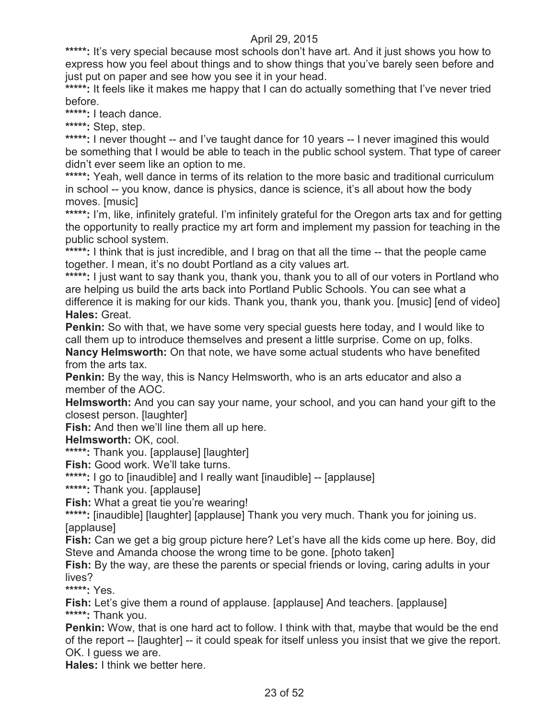\*\*\*\*\*: It's very special because most schools don't have art. And it just shows you how to express how you feel about things and to show things that you've barely seen before and just put on paper and see how you see it in your head.

\*\*\*\*\*: It feels like it makes me happy that I can do actually something that I've never tried before.

**\*\*\*\*\*:** I teach dance.

**\*\*\*\*\*:** Step, step.

\*\*\*\*\*: I never thought -- and I've taught dance for 10 years -- I never imagined this would be something that I would be able to teach in the public school system. That type of career didn't ever seem like an option to me.

\*\*\*\*\*: Yeah, well dance in terms of its relation to the more basic and traditional curriculum in school -- you know, dance is physics, dance is science, it's all about how the body moves. [music]

\*\*\*\*\*: I'm, like, infinitely grateful. I'm infinitely grateful for the Oregon arts tax and for getting the opportunity to really practice my art form and implement my passion for teaching in the public school system.

\*\*\*\*\*: I think that is just incredible, and I brag on that all the time -- that the people came together. I mean, it's no doubt Portland as a city values art.

**\*\*\*\*\*:** I just want to say thank you, thank you, thank you to all of our voters in Portland who are helping us build the arts back into Portland Public Schools. You can see what a difference it is making for our kids. Thank you, thank you, thank you. [music] [end of video] **Hales:** Great.

**Penkin:** So with that, we have some very special guests here today, and I would like to call them up to introduce themselves and present a little surprise. Come on up, folks.

**Nancy Helmsworth:** On that note, we have some actual students who have benefited from the arts tax.

**Penkin:** By the way, this is Nancy Helmsworth, who is an arts educator and also a member of the AOC.

**Helmsworth:** And you can say your name, your school, and you can hand your gift to the closest person. [laughter]

**Fish:** And then we'll line them all up here.

**Helmsworth:** OK, cool.

**\*\*\*\*\*:** Thank you. [applause] [laughter]

**Fish:** Good work. We'll take turns.

**\*\*\*\*\*:** I go to [inaudible] and I really want [inaudible] -- [applause]

**\*\*\*\*\*:** Thank you. [applause]

**Fish:** What a great tie you're wearing!

\*\*\*\*\*: [inaudible] [laughter] [applause] Thank you very much. Thank you for joining us. [applause]

**Fish:** Can we get a big group picture here? Let's have all the kids come up here. Boy, did Steve and Amanda choose the wrong time to be gone. [photo taken]

**Fish:** By the way, are these the parents or special friends or loving, caring adults in your lives?

**\*\*\*\*\*:** Yes.

**Fish:** Let's give them a round of applause. [applause] And teachers. [applause] **\*\*\*\*\*:** Thank you.

**Penkin:** Wow, that is one hard act to follow. I think with that, maybe that would be the end of the report -- [laughter] -- it could speak for itself unless you insist that we give the report. OK. I guess we are.

**Hales:** I think we better here.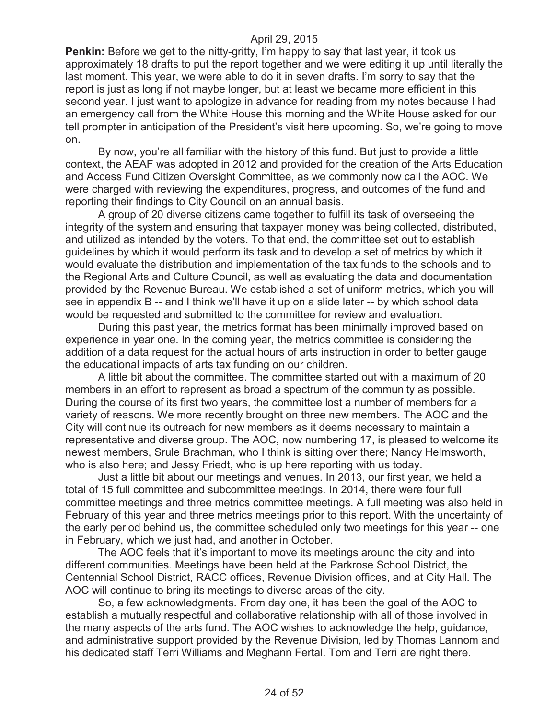**Penkin:** Before we get to the nitty-gritty, I'm happy to say that last year, it took us approximately 18 drafts to put the report together and we were editing it up until literally the last moment. This year, we were able to do it in seven drafts. I'm sorry to say that the report is just as long if not maybe longer, but at least we became more efficient in this second year. I just want to apologize in advance for reading from my notes because I had an emergency call from the White House this morning and the White House asked for our tell prompter in anticipation of the President's visit here upcoming. So, we're going to move on.

By now, you're all familiar with the history of this fund. But just to provide a little context, the AEAF was adopted in 2012 and provided for the creation of the Arts Education and Access Fund Citizen Oversight Committee, as we commonly now call the AOC. We were charged with reviewing the expenditures, progress, and outcomes of the fund and reporting their findings to City Council on an annual basis.

A group of 20 diverse citizens came together to fulfill its task of overseeing the integrity of the system and ensuring that taxpayer money was being collected, distributed, and utilized as intended by the voters. To that end, the committee set out to establish guidelines by which it would perform its task and to develop a set of metrics by which it would evaluate the distribution and implementation of the tax funds to the schools and to the Regional Arts and Culture Council, as well as evaluating the data and documentation provided by the Revenue Bureau. We established a set of uniform metrics, which you will see in appendix B -- and I think we'll have it up on a slide later -- by which school data would be requested and submitted to the committee for review and evaluation.

During this past year, the metrics format has been minimally improved based on experience in year one. In the coming year, the metrics committee is considering the addition of a data request for the actual hours of arts instruction in order to better gauge the educational impacts of arts tax funding on our children.

A little bit about the committee. The committee started out with a maximum of 20 members in an effort to represent as broad a spectrum of the community as possible. During the course of its first two years, the committee lost a number of members for a variety of reasons. We more recently brought on three new members. The AOC and the City will continue its outreach for new members as it deems necessary to maintain a representative and diverse group. The AOC, now numbering 17, is pleased to welcome its newest members, Srule Brachman, who I think is sitting over there; Nancy Helmsworth, who is also here; and Jessy Friedt, who is up here reporting with us today.

Just a little bit about our meetings and venues. In 2013, our first year, we held a total of 15 full committee and subcommittee meetings. In 2014, there were four full committee meetings and three metrics committee meetings. A full meeting was also held in February of this year and three metrics meetings prior to this report. With the uncertainty of the early period behind us, the committee scheduled only two meetings for this year -- one in February, which we just had, and another in October.

The AOC feels that it's important to move its meetings around the city and into different communities. Meetings have been held at the Parkrose School District, the Centennial School District, RACC offices, Revenue Division offices, and at City Hall. The AOC will continue to bring its meetings to diverse areas of the city.

So, a few acknowledgments. From day one, it has been the goal of the AOC to establish a mutually respectful and collaborative relationship with all of those involved in the many aspects of the arts fund. The AOC wishes to acknowledge the help, guidance, and administrative support provided by the Revenue Division, led by Thomas Lannom and his dedicated staff Terri Williams and Meghann Fertal. Tom and Terri are right there.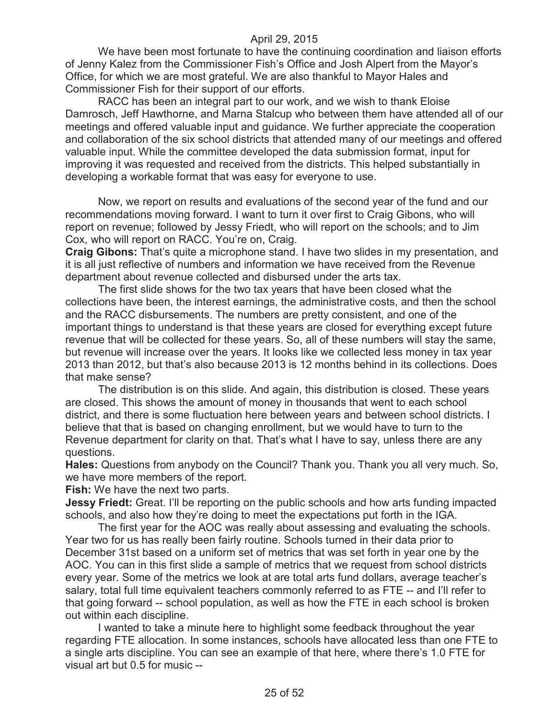We have been most fortunate to have the continuing coordination and liaison efforts of Jenny Kalez from the Commissioner Fish's Office and Josh Alpert from the Mayor's Office, for which we are most grateful. We are also thankful to Mayor Hales and Commissioner Fish for their support of our efforts.

RACC has been an integral part to our work, and we wish to thank Eloise Damrosch, Jeff Hawthorne, and Marna Stalcup who between them have attended all of our meetings and offered valuable input and guidance. We further appreciate the cooperation and collaboration of the six school districts that attended many of our meetings and offered valuable input. While the committee developed the data submission format, input for improving it was requested and received from the districts. This helped substantially in developing a workable format that was easy for everyone to use.

Now, we report on results and evaluations of the second year of the fund and our recommendations moving forward. I want to turn it over first to Craig Gibons, who will report on revenue; followed by Jessy Friedt, who will report on the schools; and to Jim Cox, who will report on RACC. You're on, Craig.

**Craig Gibons:** That's quite a microphone stand. I have two slides in my presentation, and it is all just reflective of numbers and information we have received from the Revenue department about revenue collected and disbursed under the arts tax.

The first slide shows for the two tax years that have been closed what the collections have been, the interest earnings, the administrative costs, and then the school and the RACC disbursements. The numbers are pretty consistent, and one of the important things to understand is that these years are closed for everything except future revenue that will be collected for these years. So, all of these numbers will stay the same, but revenue will increase over the years. It looks like we collected less money in tax year 2013 than 2012, but that's also because 2013 is 12 months behind in its collections. Does that make sense?

The distribution is on this slide. And again, this distribution is closed. These years are closed. This shows the amount of money in thousands that went to each school district, and there is some fluctuation here between years and between school districts. I believe that that is based on changing enrollment, but we would have to turn to the Revenue department for clarity on that. That's what I have to say, unless there are any questions.

**Hales:** Questions from anybody on the Council? Thank you. Thank you all very much. So, we have more members of the report.

**Fish:** We have the next two parts.

**Jessy Friedt:** Great. I'll be reporting on the public schools and how arts funding impacted schools, and also how they're doing to meet the expectations put forth in the IGA.

The first year for the AOC was really about assessing and evaluating the schools. Year two for us has really been fairly routine. Schools turned in their data prior to December 31st based on a uniform set of metrics that was set forth in year one by the AOC. You can in this first slide a sample of metrics that we request from school districts every year. Some of the metrics we look at are total arts fund dollars, average teacher's salary, total full time equivalent teachers commonly referred to as FTE -- and I'll refer to that going forward -- school population, as well as how the FTE in each school is broken out within each discipline.

I wanted to take a minute here to highlight some feedback throughout the year regarding FTE allocation. In some instances, schools have allocated less than one FTE to a single arts discipline. You can see an example of that here, where there's 1.0 FTE for visual art but 0.5 for music --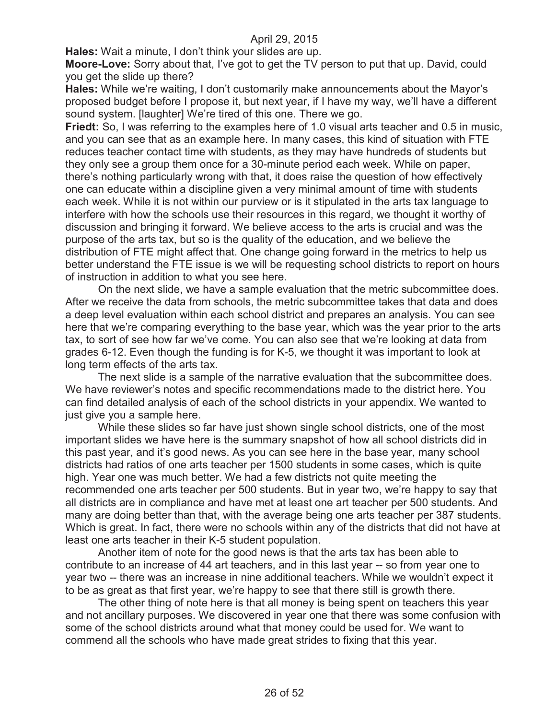**Hales:** Wait a minute, I don't think your slides are up.

**Moore-Love:** Sorry about that, I've got to get the TV person to put that up. David, could you get the slide up there?

**Hales:** While we're waiting, I don't customarily make announcements about the Mayor's proposed budget before I propose it, but next year, if I have my way, we'll have a different sound system. [laughter] We're tired of this one. There we go.

**Friedt:** So, I was referring to the examples here of 1.0 visual arts teacher and 0.5 in music, and you can see that as an example here. In many cases, this kind of situation with FTE reduces teacher contact time with students, as they may have hundreds of students but they only see a group them once for a 30-minute period each week. While on paper, there's nothing particularly wrong with that, it does raise the question of how effectively one can educate within a discipline given a very minimal amount of time with students each week. While it is not within our purview or is it stipulated in the arts tax language to interfere with how the schools use their resources in this regard, we thought it worthy of discussion and bringing it forward. We believe access to the arts is crucial and was the purpose of the arts tax, but so is the quality of the education, and we believe the distribution of FTE might affect that. One change going forward in the metrics to help us better understand the FTE issue is we will be requesting school districts to report on hours of instruction in addition to what you see here.

On the next slide, we have a sample evaluation that the metric subcommittee does. After we receive the data from schools, the metric subcommittee takes that data and does a deep level evaluation within each school district and prepares an analysis. You can see here that we're comparing everything to the base year, which was the year prior to the arts tax, to sort of see how far we've come. You can also see that we're looking at data from grades 6-12. Even though the funding is for K-5, we thought it was important to look at long term effects of the arts tax.

The next slide is a sample of the narrative evaluation that the subcommittee does. We have reviewer's notes and specific recommendations made to the district here. You can find detailed analysis of each of the school districts in your appendix. We wanted to just give you a sample here.

While these slides so far have just shown single school districts, one of the most important slides we have here is the summary snapshot of how all school districts did in this past year, and it's good news. As you can see here in the base year, many school districts had ratios of one arts teacher per 1500 students in some cases, which is quite high. Year one was much better. We had a few districts not quite meeting the recommended one arts teacher per 500 students. But in year two, we're happy to say that all districts are in compliance and have met at least one art teacher per 500 students. And many are doing better than that, with the average being one arts teacher per 387 students. Which is great. In fact, there were no schools within any of the districts that did not have at least one arts teacher in their K-5 student population.

Another item of note for the good news is that the arts tax has been able to contribute to an increase of 44 art teachers, and in this last year -- so from year one to year two -- there was an increase in nine additional teachers. While we wouldn't expect it to be as great as that first year, we're happy to see that there still is growth there.

The other thing of note here is that all money is being spent on teachers this year and not ancillary purposes. We discovered in year one that there was some confusion with some of the school districts around what that money could be used for. We want to commend all the schools who have made great strides to fixing that this year.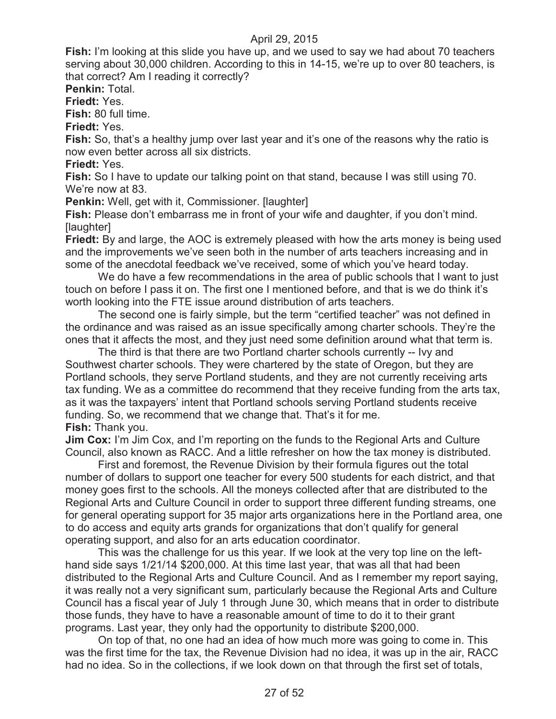**Fish:** I'm looking at this slide you have up, and we used to say we had about 70 teachers serving about 30,000 children. According to this in 14-15, we're up to over 80 teachers, is that correct? Am I reading it correctly?

**Penkin:** Total.

**Friedt:** Yes.

**Fish:** 80 full time.

**Friedt:** Yes.

**Fish:** So, that's a healthy jump over last year and it's one of the reasons why the ratio is now even better across all six districts.

**Friedt:** Yes.

**Fish:** So I have to update our talking point on that stand, because I was still using 70. We're now at 83.

**Penkin:** Well, get with it, Commissioner. [laughter]

Fish: Please don't embarrass me in front of your wife and daughter, if you don't mind. [laughter]

**Friedt:** By and large, the AOC is extremely pleased with how the arts money is being used and the improvements we've seen both in the number of arts teachers increasing and in some of the anecdotal feedback we've received, some of which you've heard today.

We do have a few recommendations in the area of public schools that I want to just touch on before I pass it on. The first one I mentioned before, and that is we do think it's worth looking into the FTE issue around distribution of arts teachers.

The second one is fairly simple, but the term "certified teacher" was not defined in the ordinance and was raised as an issue specifically among charter schools. They're the ones that it affects the most, and they just need some definition around what that term is.

The third is that there are two Portland charter schools currently -- Ivy and Southwest charter schools. They were chartered by the state of Oregon, but they are Portland schools, they serve Portland students, and they are not currently receiving arts tax funding. We as a committee do recommend that they receive funding from the arts tax, as it was the taxpayers' intent that Portland schools serving Portland students receive funding. So, we recommend that we change that. That's it for me. **Fish:** Thank you.

**Jim Cox:** I'm Jim Cox, and I'm reporting on the funds to the Regional Arts and Culture Council, also known as RACC. And a little refresher on how the tax money is distributed.

First and foremost, the Revenue Division by their formula figures out the total number of dollars to support one teacher for every 500 students for each district, and that money goes first to the schools. All the moneys collected after that are distributed to the Regional Arts and Culture Council in order to support three different funding streams, one for general operating support for 35 major arts organizations here in the Portland area, one to do access and equity arts grands for organizations that don't qualify for general operating support, and also for an arts education coordinator.

This was the challenge for us this year. If we look at the very top line on the lefthand side says 1/21/14 \$200,000. At this time last year, that was all that had been distributed to the Regional Arts and Culture Council. And as I remember my report saying, it was really not a very significant sum, particularly because the Regional Arts and Culture Council has a fiscal year of July 1 through June 30, which means that in order to distribute those funds, they have to have a reasonable amount of time to do it to their grant programs. Last year, they only had the opportunity to distribute \$200,000.

On top of that, no one had an idea of how much more was going to come in. This was the first time for the tax, the Revenue Division had no idea, it was up in the air, RACC had no idea. So in the collections, if we look down on that through the first set of totals,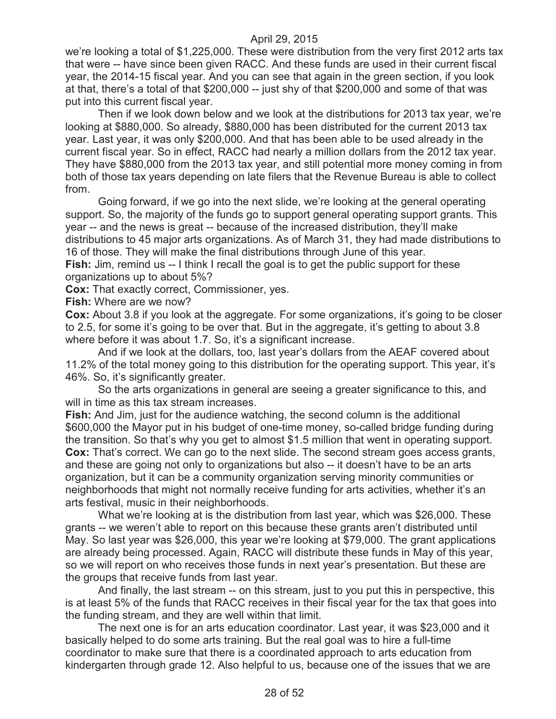we're looking a total of \$1,225,000. These were distribution from the very first 2012 arts tax that were -- have since been given RACC. And these funds are used in their current fiscal year, the 2014-15 fiscal year. And you can see that again in the green section, if you look at that, there's a total of that \$200,000 -- just shy of that \$200,000 and some of that was put into this current fiscal year.

Then if we look down below and we look at the distributions for 2013 tax year, we're looking at \$880,000. So already, \$880,000 has been distributed for the current 2013 tax year. Last year, it was only \$200,000. And that has been able to be used already in the current fiscal year. So in effect, RACC had nearly a million dollars from the 2012 tax year. They have \$880,000 from the 2013 tax year, and still potential more money coming in from both of those tax years depending on late filers that the Revenue Bureau is able to collect from.

Going forward, if we go into the next slide, we're looking at the general operating support. So, the majority of the funds go to support general operating support grants. This year -- and the news is great -- because of the increased distribution, they'll make distributions to 45 major arts organizations. As of March 31, they had made distributions to 16 of those. They will make the final distributions through June of this year.

**Fish:** Jim, remind us -- I think I recall the goal is to get the public support for these organizations up to about 5%?

**Cox:** That exactly correct, Commissioner, yes.

**Fish:** Where are we now?

**Cox:** About 3.8 if you look at the aggregate. For some organizations, it's going to be closer to 2.5, for some it's going to be over that. But in the aggregate, it's getting to about 3.8 where before it was about 1.7. So, it's a significant increase.

And if we look at the dollars, too, last year's dollars from the AEAF covered about 11.2% of the total money going to this distribution for the operating support. This year, it's 46%. So, it's significantly greater.

So the arts organizations in general are seeing a greater significance to this, and will in time as this tax stream increases.

**Fish:** And Jim, just for the audience watching, the second column is the additional \$600,000 the Mayor put in his budget of one-time money, so-called bridge funding during the transition. So that's why you get to almost \$1.5 million that went in operating support. **Cox:** That's correct. We can go to the next slide. The second stream goes access grants, and these are going not only to organizations but also -- it doesn't have to be an arts organization, but it can be a community organization serving minority communities or neighborhoods that might not normally receive funding for arts activities, whether it's an arts festival, music in their neighborhoods.

What we're looking at is the distribution from last year, which was \$26,000. These grants -- we weren't able to report on this because these grants aren't distributed until May. So last year was \$26,000, this year we're looking at \$79,000. The grant applications are already being processed. Again, RACC will distribute these funds in May of this year, so we will report on who receives those funds in next year's presentation. But these are the groups that receive funds from last year.

And finally, the last stream -- on this stream, just to you put this in perspective, this is at least 5% of the funds that RACC receives in their fiscal year for the tax that goes into the funding stream, and they are well within that limit.

The next one is for an arts education coordinator. Last year, it was \$23,000 and it basically helped to do some arts training. But the real goal was to hire a full-time coordinator to make sure that there is a coordinated approach to arts education from kindergarten through grade 12. Also helpful to us, because one of the issues that we are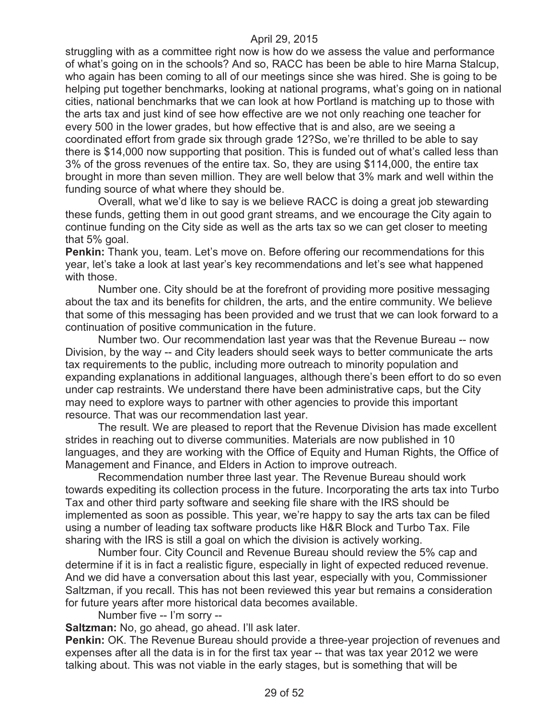struggling with as a committee right now is how do we assess the value and performance of what's going on in the schools? And so, RACC has been be able to hire Marna Stalcup, who again has been coming to all of our meetings since she was hired. She is going to be helping put together benchmarks, looking at national programs, what's going on in national cities, national benchmarks that we can look at how Portland is matching up to those with the arts tax and just kind of see how effective are we not only reaching one teacher for every 500 in the lower grades, but how effective that is and also, are we seeing a coordinated effort from grade six through grade 12?So, we're thrilled to be able to say there is \$14,000 now supporting that position. This is funded out of what's called less than 3% of the gross revenues of the entire tax. So, they are using \$114,000, the entire tax brought in more than seven million. They are well below that 3% mark and well within the funding source of what where they should be.

Overall, what we'd like to say is we believe RACC is doing a great job stewarding these funds, getting them in out good grant streams, and we encourage the City again to continue funding on the City side as well as the arts tax so we can get closer to meeting that 5% goal.

**Penkin:** Thank you, team. Let's move on. Before offering our recommendations for this year, let's take a look at last year's key recommendations and let's see what happened with those.

Number one. City should be at the forefront of providing more positive messaging about the tax and its benefits for children, the arts, and the entire community. We believe that some of this messaging has been provided and we trust that we can look forward to a continuation of positive communication in the future.

Number two. Our recommendation last year was that the Revenue Bureau -- now Division, by the way -- and City leaders should seek ways to better communicate the arts tax requirements to the public, including more outreach to minority population and expanding explanations in additional languages, although there's been effort to do so even under cap restraints. We understand there have been administrative caps, but the City may need to explore ways to partner with other agencies to provide this important resource. That was our recommendation last year.

The result. We are pleased to report that the Revenue Division has made excellent strides in reaching out to diverse communities. Materials are now published in 10 languages, and they are working with the Office of Equity and Human Rights, the Office of Management and Finance, and Elders in Action to improve outreach.

Recommendation number three last year. The Revenue Bureau should work towards expediting its collection process in the future. Incorporating the arts tax into Turbo Tax and other third party software and seeking file share with the IRS should be implemented as soon as possible. This year, we're happy to say the arts tax can be filed using a number of leading tax software products like H&R Block and Turbo Tax. File sharing with the IRS is still a goal on which the division is actively working.

Number four. City Council and Revenue Bureau should review the 5% cap and determine if it is in fact a realistic figure, especially in light of expected reduced revenue. And we did have a conversation about this last year, especially with you, Commissioner Saltzman, if you recall. This has not been reviewed this year but remains a consideration for future years after more historical data becomes available.

Number five -- I'm sorry --

**Saltzman:** No, go ahead, go ahead. I'll ask later.

**Penkin:** OK. The Revenue Bureau should provide a three-year projection of revenues and expenses after all the data is in for the first tax year -- that was tax year 2012 we were talking about. This was not viable in the early stages, but is something that will be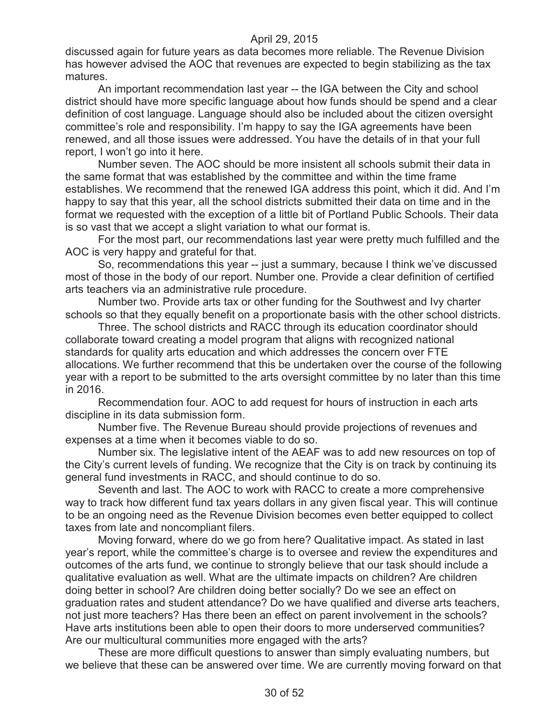discussed again for future years as data becomes more reliable. The Revenue Division has however advised the AOC that revenues are expected to begin stabilizing as the tax matures.

An important recommendation last year -- the IGA between the City and school district should have more specific language about how funds should be spend and a clear definition of cost language. Language should also be included about the citizen oversight committee's role and responsibility. I'm happy to say the IGA agreements have been renewed, and all those issues were addressed. You have the details of in that your full report, I won't go into it here.

Number seven. The AOC should be more insistent all schools submit their data in the same format that was established by the committee and within the time frame establishes. We recommend that the renewed IGA address this point, which it did. And I'm happy to say that this year, all the school districts submitted their data on time and in the format we requested with the exception of a little bit of Portland Public Schools. Their data is so vast that we accept a slight variation to what our format is.

For the most part, our recommendations last year were pretty much fulfilled and the AOC is very happy and grateful for that.

So, recommendations this year -- just a summary, because I think we've discussed most of those in the body of our report. Number one. Provide a clear definition of certified arts teachers via an administrative rule procedure.

Number two. Provide arts tax or other funding for the Southwest and Ivy charter schools so that they equally benefit on a proportionate basis with the other school districts.

Three. The school districts and RACC through its education coordinator should collaborate toward creating a model program that aligns with recognized national standards for quality arts education and which addresses the concern over FTE allocations. We further recommend that this be undertaken over the course of the following year with a report to be submitted to the arts oversight committee by no later than this time in 2016.

Recommendation four. AOC to add request for hours of instruction in each arts discipline in its data submission form.

Number five. The Revenue Bureau should provide projections of revenues and expenses at a time when it becomes viable to do so.

Number six. The legislative intent of the AEAF was to add new resources on top of the City's current levels of funding. We recognize that the City is on track by continuing its general fund investments in RACC, and should continue to do so.

Seventh and last. The AOC to work with RACC to create a more comprehensive way to track how different fund tax years dollars in any given fiscal year. This will continue to be an ongoing need as the Revenue Division becomes even better equipped to collect taxes from late and noncompliant filers.

Moving forward, where do we go from here? Qualitative impact. As stated in last year's report, while the committee's charge is to oversee and review the expenditures and outcomes of the arts fund, we continue to strongly believe that our task should include a qualitative evaluation as well. What are the ultimate impacts on children? Are children doing better in school? Are children doing better socially? Do we see an effect on graduation rates and student attendance? Do we have qualified and diverse arts teachers, not just more teachers? Has there been an effect on parent involvement in the schools? Have arts institutions been able to open their doors to more underserved communities? Are our multicultural communities more engaged with the arts?

These are more difficult questions to answer than simply evaluating numbers, but we believe that these can be answered over time. We are currently moving forward on that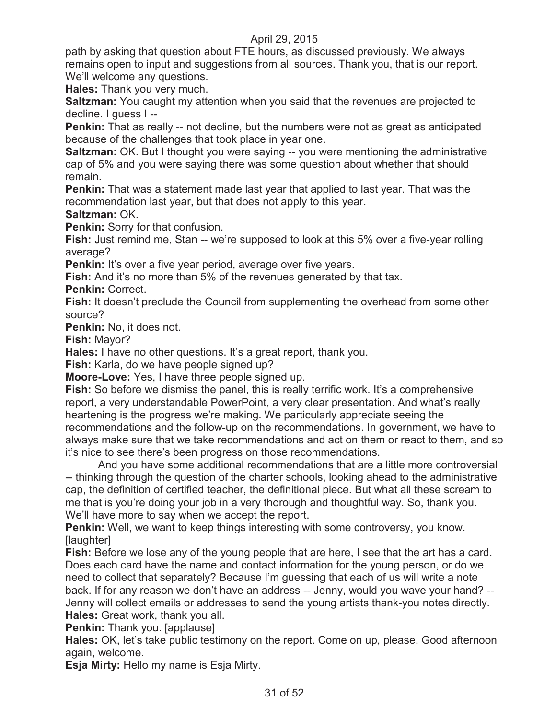path by asking that question about FTE hours, as discussed previously. We always remains open to input and suggestions from all sources. Thank you, that is our report. We'll welcome any questions.

**Hales:** Thank you very much.

**Saltzman:** You caught my attention when you said that the revenues are projected to decline. I guess I --

**Penkin:** That as really -- not decline, but the numbers were not as great as anticipated because of the challenges that took place in year one.

**Saltzman:** OK. But I thought you were saying -- you were mentioning the administrative cap of 5% and you were saying there was some question about whether that should remain.

**Penkin:** That was a statement made last year that applied to last year. That was the recommendation last year, but that does not apply to this year.

#### **Saltzman:** OK.

**Penkin:** Sorry for that confusion.

**Fish:** Just remind me, Stan -- we're supposed to look at this 5% over a five-year rolling average?

**Penkin:** It's over a five year period, average over five years.

**Fish:** And it's no more than 5% of the revenues generated by that tax.

**Penkin:** Correct.

**Fish:** It doesn't preclude the Council from supplementing the overhead from some other source?

**Penkin:** No, it does not.

**Fish:** Mayor?

**Hales:** I have no other questions. It's a great report, thank you.

**Fish:** Karla, do we have people signed up?

**Moore-Love:** Yes, I have three people signed up.

**Fish:** So before we dismiss the panel, this is really terrific work. It's a comprehensive report, a very understandable PowerPoint, a very clear presentation. And what's really heartening is the progress we're making. We particularly appreciate seeing the recommendations and the follow-up on the recommendations. In government, we have to always make sure that we take recommendations and act on them or react to them, and so it's nice to see there's been progress on those recommendations.

And you have some additional recommendations that are a little more controversial -- thinking through the question of the charter schools, looking ahead to the administrative cap, the definition of certified teacher, the definitional piece. But what all these scream to me that is you're doing your job in a very thorough and thoughtful way. So, thank you. We'll have more to say when we accept the report.

**Penkin:** Well, we want to keep things interesting with some controversy, you know. [laughter]

**Fish:** Before we lose any of the young people that are here, I see that the art has a card. Does each card have the name and contact information for the young person, or do we need to collect that separately? Because I'm guessing that each of us will write a note back. If for any reason we don't have an address -- Jenny, would you wave your hand? -- Jenny will collect emails or addresses to send the young artists thank-you notes directly. **Hales:** Great work, thank you all.

**Penkin:** Thank you. [applause]

**Hales:** OK, let's take public testimony on the report. Come on up, please. Good afternoon again, welcome.

**Esja Mirty:** Hello my name is Esja Mirty.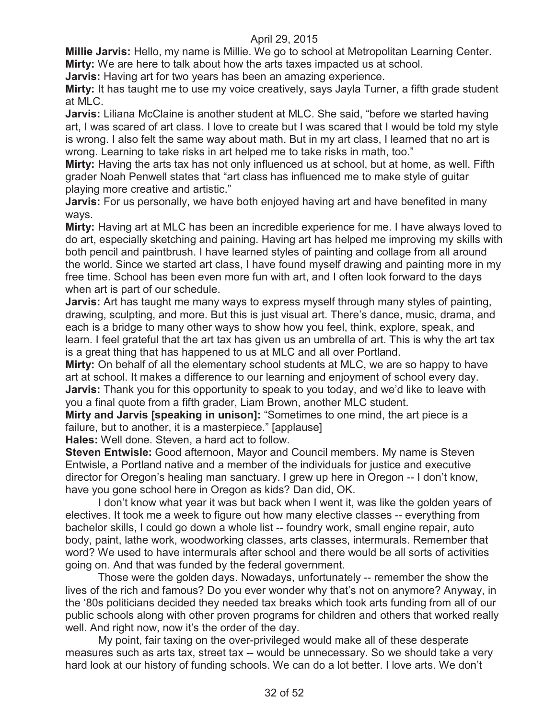**Millie Jarvis:** Hello, my name is Millie. We go to school at Metropolitan Learning Center. **Mirty:** We are here to talk about how the arts taxes impacted us at school.

**Jarvis:** Having art for two years has been an amazing experience.

**Mirty:** It has taught me to use my voice creatively, says Jayla Turner, a fifth grade student at MLC.

**Jarvis:** Liliana McClaine is another student at MLC. She said, "before we started having art, I was scared of art class. I love to create but I was scared that I would be told my style is wrong. I also felt the same way about math. But in my art class, I learned that no art is wrong. Learning to take risks in art helped me to take risks in math, too."

**Mirty:** Having the arts tax has not only influenced us at school, but at home, as well. Fifth grader Noah Penwell states that "art class has influenced me to make style of guitar playing more creative and artistic."

**Jarvis:** For us personally, we have both enjoyed having art and have benefited in many ways.

**Mirty:** Having art at MLC has been an incredible experience for me. I have always loved to do art, especially sketching and paining. Having art has helped me improving my skills with both pencil and paintbrush. I have learned styles of painting and collage from all around the world. Since we started art class, I have found myself drawing and painting more in my free time. School has been even more fun with art, and I often look forward to the days when art is part of our schedule.

**Jarvis:** Art has taught me many ways to express myself through many styles of painting, drawing, sculpting, and more. But this is just visual art. There's dance, music, drama, and each is a bridge to many other ways to show how you feel, think, explore, speak, and learn. I feel grateful that the art tax has given us an umbrella of art. This is why the art tax is a great thing that has happened to us at MLC and all over Portland.

**Mirty:** On behalf of all the elementary school students at MLC, we are so happy to have art at school. It makes a difference to our learning and enjoyment of school every day. **Jarvis:** Thank you for this opportunity to speak to you today, and we'd like to leave with you a final quote from a fifth grader, Liam Brown, another MLC student.

**Mirty and Jarvis [speaking in unison]:** "Sometimes to one mind, the art piece is a failure, but to another, it is a masterpiece." [applause]

**Hales:** Well done. Steven, a hard act to follow.

**Steven Entwisle:** Good afternoon, Mayor and Council members. My name is Steven Entwisle, a Portland native and a member of the individuals for justice and executive director for Oregon's healing man sanctuary. I grew up here in Oregon -- I don't know, have you gone school here in Oregon as kids? Dan did, OK.

I don't know what year it was but back when I went it, was like the golden years of electives. It took me a week to figure out how many elective classes -- everything from bachelor skills, I could go down a whole list -- foundry work, small engine repair, auto body, paint, lathe work, woodworking classes, arts classes, intermurals. Remember that word? We used to have intermurals after school and there would be all sorts of activities going on. And that was funded by the federal government.

Those were the golden days. Nowadays, unfortunately -- remember the show the lives of the rich and famous? Do you ever wonder why that's not on anymore? Anyway, in the '80s politicians decided they needed tax breaks which took arts funding from all of our public schools along with other proven programs for children and others that worked really well. And right now, now it's the order of the day.

My point, fair taxing on the over-privileged would make all of these desperate measures such as arts tax, street tax -- would be unnecessary. So we should take a very hard look at our history of funding schools. We can do a lot better. I love arts. We don't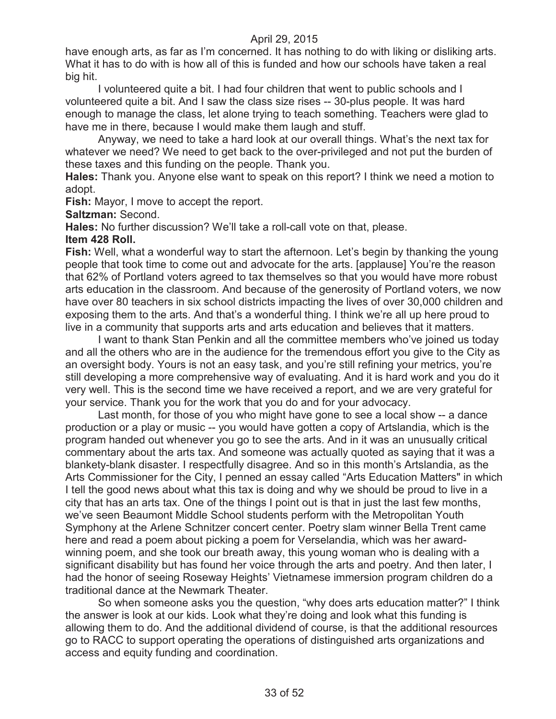have enough arts, as far as I'm concerned. It has nothing to do with liking or disliking arts. What it has to do with is how all of this is funded and how our schools have taken a real big hit.

I volunteered quite a bit. I had four children that went to public schools and I volunteered quite a bit. And I saw the class size rises -- 30-plus people. It was hard enough to manage the class, let alone trying to teach something. Teachers were glad to have me in there, because I would make them laugh and stuff.

Anyway, we need to take a hard look at our overall things. What's the next tax for whatever we need? We need to get back to the over-privileged and not put the burden of these taxes and this funding on the people. Thank you.

**Hales:** Thank you. Anyone else want to speak on this report? I think we need a motion to adopt.

**Fish:** Mayor, I move to accept the report.

**Saltzman:** Second.

**Hales:** No further discussion? We'll take a roll-call vote on that, please.

#### **Item 428 Roll.**

**Fish:** Well, what a wonderful way to start the afternoon. Let's begin by thanking the young people that took time to come out and advocate for the arts. [applause] You're the reason that 62% of Portland voters agreed to tax themselves so that you would have more robust arts education in the classroom. And because of the generosity of Portland voters, we now have over 80 teachers in six school districts impacting the lives of over 30,000 children and exposing them to the arts. And that's a wonderful thing. I think we're all up here proud to live in a community that supports arts and arts education and believes that it matters.

I want to thank Stan Penkin and all the committee members who've joined us today and all the others who are in the audience for the tremendous effort you give to the City as an oversight body. Yours is not an easy task, and you're still refining your metrics, you're still developing a more comprehensive way of evaluating. And it is hard work and you do it very well. This is the second time we have received a report, and we are very grateful for your service. Thank you for the work that you do and for your advocacy.

Last month, for those of you who might have gone to see a local show -- a dance production or a play or music -- you would have gotten a copy of Artslandia, which is the program handed out whenever you go to see the arts. And in it was an unusually critical commentary about the arts tax. And someone was actually quoted as saying that it was a blankety-blank disaster. I respectfully disagree. And so in this month's Artslandia, as the Arts Commissioner for the City, I penned an essay called "Arts Education Matters" in which I tell the good news about what this tax is doing and why we should be proud to live in a city that has an arts tax. One of the things I point out is that in just the last few months, we've seen Beaumont Middle School students perform with the Metropolitan Youth Symphony at the Arlene Schnitzer concert center. Poetry slam winner Bella Trent came here and read a poem about picking a poem for Verselandia, which was her awardwinning poem, and she took our breath away, this young woman who is dealing with a significant disability but has found her voice through the arts and poetry. And then later, I had the honor of seeing Roseway Heights' Vietnamese immersion program children do a traditional dance at the Newmark Theater.

So when someone asks you the question, "why does arts education matter?" I think the answer is look at our kids. Look what they're doing and look what this funding is allowing them to do. And the additional dividend of course, is that the additional resources go to RACC to support operating the operations of distinguished arts organizations and access and equity funding and coordination.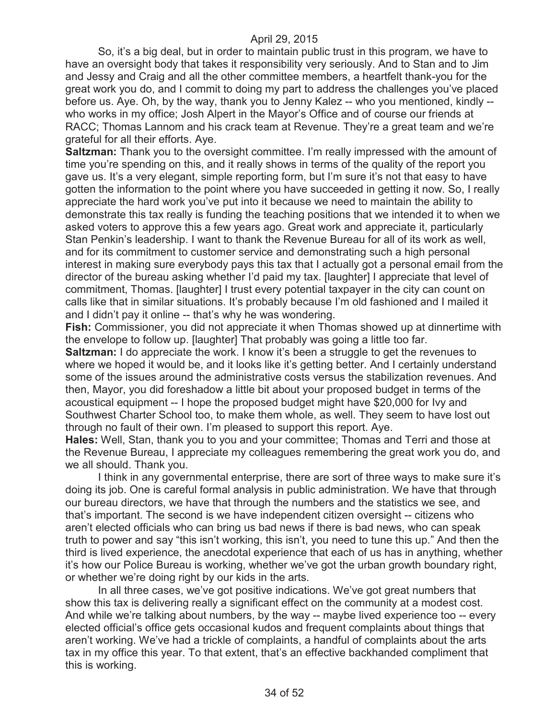So, it's a big deal, but in order to maintain public trust in this program, we have to have an oversight body that takes it responsibility very seriously. And to Stan and to Jim and Jessy and Craig and all the other committee members, a heartfelt thank-you for the great work you do, and I commit to doing my part to address the challenges you've placed before us. Aye. Oh, by the way, thank you to Jenny Kalez -- who you mentioned, kindly - who works in my office; Josh Alpert in the Mayor's Office and of course our friends at RACC; Thomas Lannom and his crack team at Revenue. They're a great team and we're grateful for all their efforts. Aye.

**Saltzman:** Thank you to the oversight committee. I'm really impressed with the amount of time you're spending on this, and it really shows in terms of the quality of the report you gave us. It's a very elegant, simple reporting form, but I'm sure it's not that easy to have gotten the information to the point where you have succeeded in getting it now. So, I really appreciate the hard work you've put into it because we need to maintain the ability to demonstrate this tax really is funding the teaching positions that we intended it to when we asked voters to approve this a few years ago. Great work and appreciate it, particularly Stan Penkin's leadership. I want to thank the Revenue Bureau for all of its work as well, and for its commitment to customer service and demonstrating such a high personal interest in making sure everybody pays this tax that I actually got a personal email from the director of the bureau asking whether I'd paid my tax. [laughter] I appreciate that level of commitment, Thomas. [laughter] I trust every potential taxpayer in the city can count on calls like that in similar situations. It's probably because I'm old fashioned and I mailed it and I didn't pay it online -- that's why he was wondering.

**Fish:** Commissioner, you did not appreciate it when Thomas showed up at dinnertime with the envelope to follow up. [laughter] That probably was going a little too far.

**Saltzman:** I do appreciate the work. I know it's been a struggle to get the revenues to where we hoped it would be, and it looks like it's getting better. And I certainly understand some of the issues around the administrative costs versus the stabilization revenues. And then, Mayor, you did foreshadow a little bit about your proposed budget in terms of the acoustical equipment -- I hope the proposed budget might have \$20,000 for Ivy and Southwest Charter School too, to make them whole, as well. They seem to have lost out through no fault of their own. I'm pleased to support this report. Aye.

**Hales:** Well, Stan, thank you to you and your committee; Thomas and Terri and those at the Revenue Bureau, I appreciate my colleagues remembering the great work you do, and we all should. Thank you.

I think in any governmental enterprise, there are sort of three ways to make sure it's doing its job. One is careful formal analysis in public administration. We have that through our bureau directors, we have that through the numbers and the statistics we see, and that's important. The second is we have independent citizen oversight -- citizens who aren't elected officials who can bring us bad news if there is bad news, who can speak truth to power and say "this isn't working, this isn't, you need to tune this up." And then the third is lived experience, the anecdotal experience that each of us has in anything, whether it's how our Police Bureau is working, whether we've got the urban growth boundary right, or whether we're doing right by our kids in the arts.

In all three cases, we've got positive indications. We've got great numbers that show this tax is delivering really a significant effect on the community at a modest cost. And while we're talking about numbers, by the way -- maybe lived experience too -- every elected official's office gets occasional kudos and frequent complaints about things that aren't working. We've had a trickle of complaints, a handful of complaints about the arts tax in my office this year. To that extent, that's an effective backhanded compliment that this is working.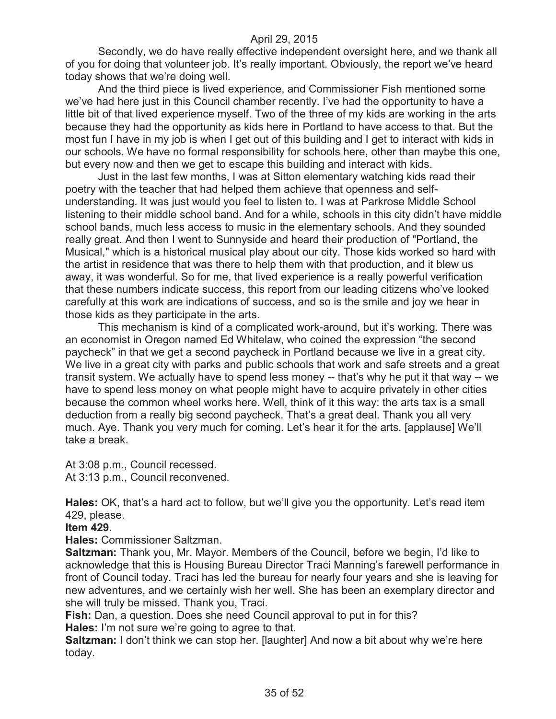Secondly, we do have really effective independent oversight here, and we thank all of you for doing that volunteer job. It's really important. Obviously, the report we've heard today shows that we're doing well.

And the third piece is lived experience, and Commissioner Fish mentioned some we've had here just in this Council chamber recently. I've had the opportunity to have a little bit of that lived experience myself. Two of the three of my kids are working in the arts because they had the opportunity as kids here in Portland to have access to that. But the most fun I have in my job is when I get out of this building and I get to interact with kids in our schools. We have no formal responsibility for schools here, other than maybe this one, but every now and then we get to escape this building and interact with kids.

Just in the last few months, I was at Sitton elementary watching kids read their poetry with the teacher that had helped them achieve that openness and selfunderstanding. It was just would you feel to listen to. I was at Parkrose Middle School listening to their middle school band. And for a while, schools in this city didn't have middle school bands, much less access to music in the elementary schools. And they sounded really great. And then I went to Sunnyside and heard their production of "Portland, the Musical," which is a historical musical play about our city. Those kids worked so hard with the artist in residence that was there to help them with that production, and it blew us away, it was wonderful. So for me, that lived experience is a really powerful verification that these numbers indicate success, this report from our leading citizens who've looked carefully at this work are indications of success, and so is the smile and joy we hear in those kids as they participate in the arts.

This mechanism is kind of a complicated work-around, but it's working. There was an economist in Oregon named Ed Whitelaw, who coined the expression "the second paycheck" in that we get a second paycheck in Portland because we live in a great city. We live in a great city with parks and public schools that work and safe streets and a great transit system. We actually have to spend less money -- that's why he put it that way -- we have to spend less money on what people might have to acquire privately in other cities because the common wheel works here. Well, think of it this way: the arts tax is a small deduction from a really big second paycheck. That's a great deal. Thank you all very much. Aye. Thank you very much for coming. Let's hear it for the arts. [applause] We'll take a break.

At 3:08 p.m., Council recessed. At 3:13 p.m., Council reconvened.

**Hales:** OK, that's a hard act to follow, but we'll give you the opportunity. Let's read item 429, please.

#### **Item 429.**

**Hales:** Commissioner Saltzman.

**Saltzman:** Thank you, Mr. Mayor. Members of the Council, before we begin, I'd like to acknowledge that this is Housing Bureau Director Traci Manning's farewell performance in front of Council today. Traci has led the bureau for nearly four years and she is leaving for new adventures, and we certainly wish her well. She has been an exemplary director and she will truly be missed. Thank you, Traci.

**Fish:** Dan, a question. Does she need Council approval to put in for this?

**Hales:** I'm not sure we're going to agree to that.

**Saltzman:** I don't think we can stop her. [laughter] And now a bit about why we're here today.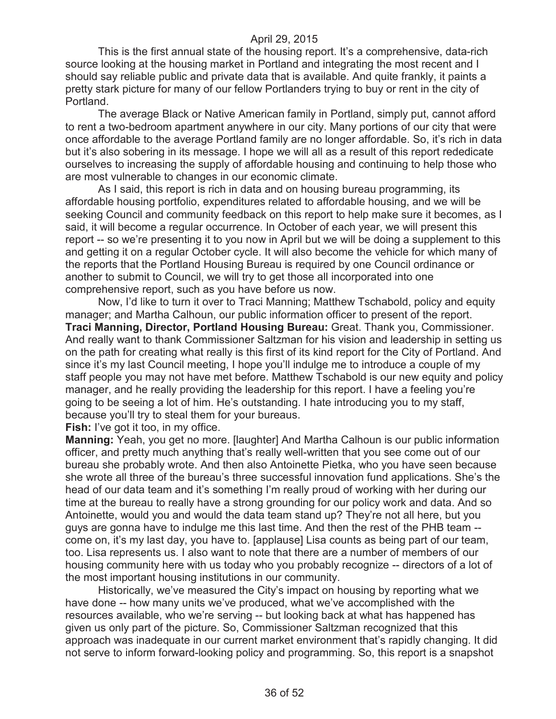This is the first annual state of the housing report. It's a comprehensive, data-rich source looking at the housing market in Portland and integrating the most recent and I should say reliable public and private data that is available. And quite frankly, it paints a pretty stark picture for many of our fellow Portlanders trying to buy or rent in the city of Portland.

The average Black or Native American family in Portland, simply put, cannot afford to rent a two-bedroom apartment anywhere in our city. Many portions of our city that were once affordable to the average Portland family are no longer affordable. So, it's rich in data but it's also sobering in its message. I hope we will all as a result of this report rededicate ourselves to increasing the supply of affordable housing and continuing to help those who are most vulnerable to changes in our economic climate.

As I said, this report is rich in data and on housing bureau programming, its affordable housing portfolio, expenditures related to affordable housing, and we will be seeking Council and community feedback on this report to help make sure it becomes, as I said, it will become a regular occurrence. In October of each year, we will present this report -- so we're presenting it to you now in April but we will be doing a supplement to this and getting it on a regular October cycle. It will also become the vehicle for which many of the reports that the Portland Housing Bureau is required by one Council ordinance or another to submit to Council, we will try to get those all incorporated into one comprehensive report, such as you have before us now.

Now, I'd like to turn it over to Traci Manning; Matthew Tschabold, policy and equity manager; and Martha Calhoun, our public information officer to present of the report. **Traci Manning, Director, Portland Housing Bureau:** Great. Thank you, Commissioner. And really want to thank Commissioner Saltzman for his vision and leadership in setting us on the path for creating what really is this first of its kind report for the City of Portland. And since it's my last Council meeting, I hope you'll indulge me to introduce a couple of my staff people you may not have met before. Matthew Tschabold is our new equity and policy manager, and he really providing the leadership for this report. I have a feeling you're going to be seeing a lot of him. He's outstanding. I hate introducing you to my staff, because you'll try to steal them for your bureaus.

**Fish:** I've got it too, in my office.

**Manning:** Yeah, you get no more. [laughter] And Martha Calhoun is our public information officer, and pretty much anything that's really well-written that you see come out of our bureau she probably wrote. And then also Antoinette Pietka, who you have seen because she wrote all three of the bureau's three successful innovation fund applications. She's the head of our data team and it's something I'm really proud of working with her during our time at the bureau to really have a strong grounding for our policy work and data. And so Antoinette, would you and would the data team stand up? They're not all here, but you guys are gonna have to indulge me this last time. And then the rest of the PHB team - come on, it's my last day, you have to. [applause] Lisa counts as being part of our team, too. Lisa represents us. I also want to note that there are a number of members of our housing community here with us today who you probably recognize -- directors of a lot of the most important housing institutions in our community.

Historically, we've measured the City's impact on housing by reporting what we have done -- how many units we've produced, what we've accomplished with the resources available, who we're serving -- but looking back at what has happened has given us only part of the picture. So, Commissioner Saltzman recognized that this approach was inadequate in our current market environment that's rapidly changing. It did not serve to inform forward-looking policy and programming. So, this report is a snapshot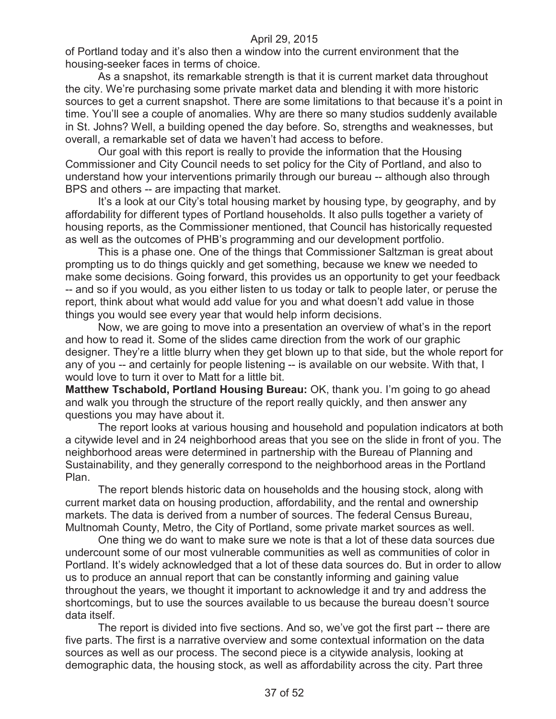of Portland today and it's also then a window into the current environment that the housing-seeker faces in terms of choice.

As a snapshot, its remarkable strength is that it is current market data throughout the city. We're purchasing some private market data and blending it with more historic sources to get a current snapshot. There are some limitations to that because it's a point in time. You'll see a couple of anomalies. Why are there so many studios suddenly available in St. Johns? Well, a building opened the day before. So, strengths and weaknesses, but overall, a remarkable set of data we haven't had access to before.

Our goal with this report is really to provide the information that the Housing Commissioner and City Council needs to set policy for the City of Portland, and also to understand how your interventions primarily through our bureau -- although also through BPS and others -- are impacting that market.

It's a look at our City's total housing market by housing type, by geography, and by affordability for different types of Portland households. It also pulls together a variety of housing reports, as the Commissioner mentioned, that Council has historically requested as well as the outcomes of PHB's programming and our development portfolio.

This is a phase one. One of the things that Commissioner Saltzman is great about prompting us to do things quickly and get something, because we knew we needed to make some decisions. Going forward, this provides us an opportunity to get your feedback -- and so if you would, as you either listen to us today or talk to people later, or peruse the report, think about what would add value for you and what doesn't add value in those things you would see every year that would help inform decisions.

Now, we are going to move into a presentation an overview of what's in the report and how to read it. Some of the slides came direction from the work of our graphic designer. They're a little blurry when they get blown up to that side, but the whole report for any of you -- and certainly for people listening -- is available on our website. With that, I would love to turn it over to Matt for a little bit.

**Matthew Tschabold, Portland Housing Bureau:** OK, thank you. I'm going to go ahead and walk you through the structure of the report really quickly, and then answer any questions you may have about it.

The report looks at various housing and household and population indicators at both a citywide level and in 24 neighborhood areas that you see on the slide in front of you. The neighborhood areas were determined in partnership with the Bureau of Planning and Sustainability, and they generally correspond to the neighborhood areas in the Portland Plan.

The report blends historic data on households and the housing stock, along with current market data on housing production, affordability, and the rental and ownership markets. The data is derived from a number of sources. The federal Census Bureau, Multnomah County, Metro, the City of Portland, some private market sources as well.

One thing we do want to make sure we note is that a lot of these data sources due undercount some of our most vulnerable communities as well as communities of color in Portland. It's widely acknowledged that a lot of these data sources do. But in order to allow us to produce an annual report that can be constantly informing and gaining value throughout the years, we thought it important to acknowledge it and try and address the shortcomings, but to use the sources available to us because the bureau doesn't source data itself.

The report is divided into five sections. And so, we've got the first part -- there are five parts. The first is a narrative overview and some contextual information on the data sources as well as our process. The second piece is a citywide analysis, looking at demographic data, the housing stock, as well as affordability across the city. Part three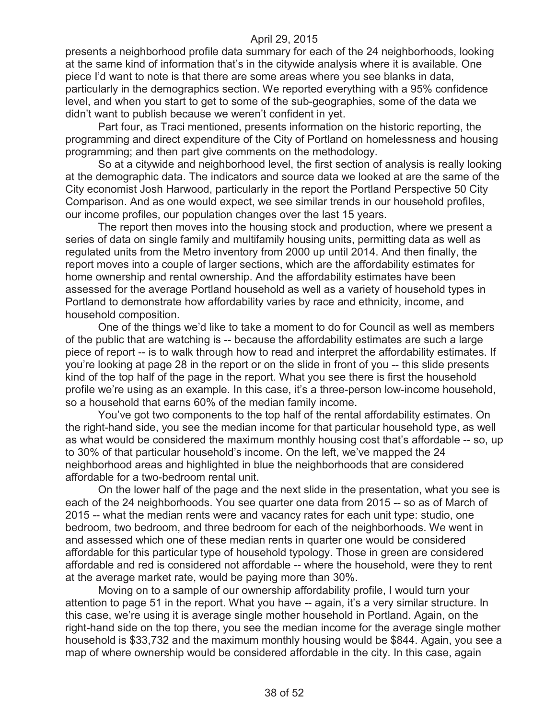presents a neighborhood profile data summary for each of the 24 neighborhoods, looking at the same kind of information that's in the citywide analysis where it is available. One piece I'd want to note is that there are some areas where you see blanks in data, particularly in the demographics section. We reported everything with a 95% confidence level, and when you start to get to some of the sub-geographies, some of the data we didn't want to publish because we weren't confident in yet.

Part four, as Traci mentioned, presents information on the historic reporting, the programming and direct expenditure of the City of Portland on homelessness and housing programming; and then part give comments on the methodology.

So at a citywide and neighborhood level, the first section of analysis is really looking at the demographic data. The indicators and source data we looked at are the same of the City economist Josh Harwood, particularly in the report the Portland Perspective 50 City Comparison. And as one would expect, we see similar trends in our household profiles, our income profiles, our population changes over the last 15 years.

The report then moves into the housing stock and production, where we present a series of data on single family and multifamily housing units, permitting data as well as regulated units from the Metro inventory from 2000 up until 2014. And then finally, the report moves into a couple of larger sections, which are the affordability estimates for home ownership and rental ownership. And the affordability estimates have been assessed for the average Portland household as well as a variety of household types in Portland to demonstrate how affordability varies by race and ethnicity, income, and household composition.

One of the things we'd like to take a moment to do for Council as well as members of the public that are watching is -- because the affordability estimates are such a large piece of report -- is to walk through how to read and interpret the affordability estimates. If you're looking at page 28 in the report or on the slide in front of you -- this slide presents kind of the top half of the page in the report. What you see there is first the household profile we're using as an example. In this case, it's a three-person low-income household, so a household that earns 60% of the median family income.

You've got two components to the top half of the rental affordability estimates. On the right-hand side, you see the median income for that particular household type, as well as what would be considered the maximum monthly housing cost that's affordable -- so, up to 30% of that particular household's income. On the left, we've mapped the 24 neighborhood areas and highlighted in blue the neighborhoods that are considered affordable for a two-bedroom rental unit.

On the lower half of the page and the next slide in the presentation, what you see is each of the 24 neighborhoods. You see quarter one data from 2015 -- so as of March of 2015 -- what the median rents were and vacancy rates for each unit type: studio, one bedroom, two bedroom, and three bedroom for each of the neighborhoods. We went in and assessed which one of these median rents in quarter one would be considered affordable for this particular type of household typology. Those in green are considered affordable and red is considered not affordable -- where the household, were they to rent at the average market rate, would be paying more than 30%.

Moving on to a sample of our ownership affordability profile, I would turn your attention to page 51 in the report. What you have -- again, it's a very similar structure. In this case, we're using it is average single mother household in Portland. Again, on the right-hand side on the top there, you see the median income for the average single mother household is \$33,732 and the maximum monthly housing would be \$844. Again, you see a map of where ownership would be considered affordable in the city. In this case, again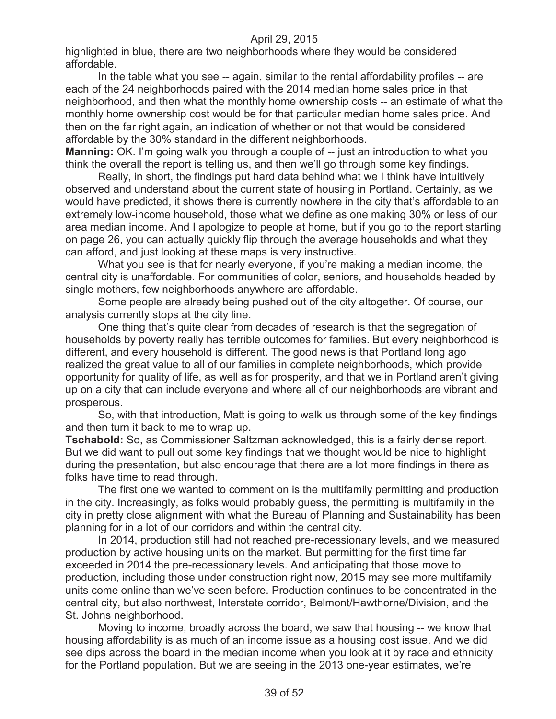highlighted in blue, there are two neighborhoods where they would be considered affordable.

In the table what you see -- again, similar to the rental affordability profiles -- are each of the 24 neighborhoods paired with the 2014 median home sales price in that neighborhood, and then what the monthly home ownership costs -- an estimate of what the monthly home ownership cost would be for that particular median home sales price. And then on the far right again, an indication of whether or not that would be considered affordable by the 30% standard in the different neighborhoods.

**Manning:** OK. I'm going walk you through a couple of -- just an introduction to what you think the overall the report is telling us, and then we'll go through some key findings.

Really, in short, the findings put hard data behind what we I think have intuitively observed and understand about the current state of housing in Portland. Certainly, as we would have predicted, it shows there is currently nowhere in the city that's affordable to an extremely low-income household, those what we define as one making 30% or less of our area median income. And I apologize to people at home, but if you go to the report starting on page 26, you can actually quickly flip through the average households and what they can afford, and just looking at these maps is very instructive.

What you see is that for nearly everyone, if you're making a median income, the central city is unaffordable. For communities of color, seniors, and households headed by single mothers, few neighborhoods anywhere are affordable.

Some people are already being pushed out of the city altogether. Of course, our analysis currently stops at the city line.

One thing that's quite clear from decades of research is that the segregation of households by poverty really has terrible outcomes for families. But every neighborhood is different, and every household is different. The good news is that Portland long ago realized the great value to all of our families in complete neighborhoods, which provide opportunity for quality of life, as well as for prosperity, and that we in Portland aren't giving up on a city that can include everyone and where all of our neighborhoods are vibrant and prosperous.

So, with that introduction, Matt is going to walk us through some of the key findings and then turn it back to me to wrap up.

**Tschabold:** So, as Commissioner Saltzman acknowledged, this is a fairly dense report. But we did want to pull out some key findings that we thought would be nice to highlight during the presentation, but also encourage that there are a lot more findings in there as folks have time to read through.

The first one we wanted to comment on is the multifamily permitting and production in the city. Increasingly, as folks would probably guess, the permitting is multifamily in the city in pretty close alignment with what the Bureau of Planning and Sustainability has been planning for in a lot of our corridors and within the central city.

In 2014, production still had not reached pre-recessionary levels, and we measured production by active housing units on the market. But permitting for the first time far exceeded in 2014 the pre-recessionary levels. And anticipating that those move to production, including those under construction right now, 2015 may see more multifamily units come online than we've seen before. Production continues to be concentrated in the central city, but also northwest, Interstate corridor, Belmont/Hawthorne/Division, and the St. Johns neighborhood.

Moving to income, broadly across the board, we saw that housing -- we know that housing affordability is as much of an income issue as a housing cost issue. And we did see dips across the board in the median income when you look at it by race and ethnicity for the Portland population. But we are seeing in the 2013 one-year estimates, we're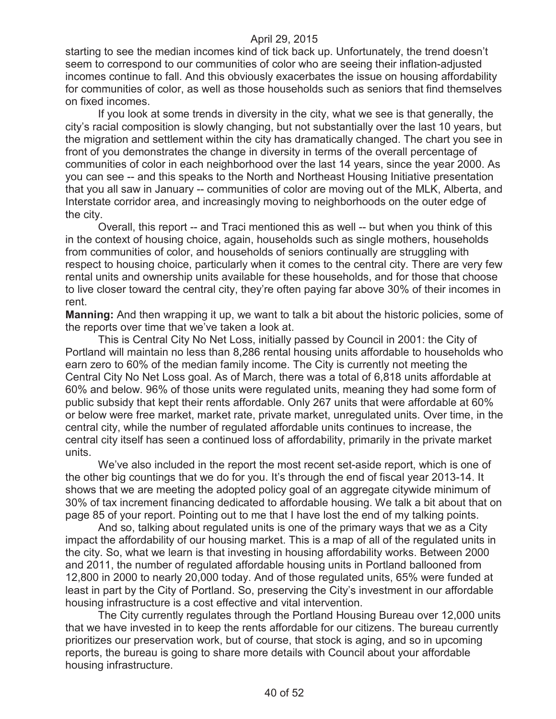starting to see the median incomes kind of tick back up. Unfortunately, the trend doesn't seem to correspond to our communities of color who are seeing their inflation-adjusted incomes continue to fall. And this obviously exacerbates the issue on housing affordability for communities of color, as well as those households such as seniors that find themselves on fixed incomes.

If you look at some trends in diversity in the city, what we see is that generally, the city's racial composition is slowly changing, but not substantially over the last 10 years, but the migration and settlement within the city has dramatically changed. The chart you see in front of you demonstrates the change in diversity in terms of the overall percentage of communities of color in each neighborhood over the last 14 years, since the year 2000. As you can see -- and this speaks to the North and Northeast Housing Initiative presentation that you all saw in January -- communities of color are moving out of the MLK, Alberta, and Interstate corridor area, and increasingly moving to neighborhoods on the outer edge of the city.

Overall, this report -- and Traci mentioned this as well -- but when you think of this in the context of housing choice, again, households such as single mothers, households from communities of color, and households of seniors continually are struggling with respect to housing choice, particularly when it comes to the central city. There are very few rental units and ownership units available for these households, and for those that choose to live closer toward the central city, they're often paying far above 30% of their incomes in rent.

**Manning:** And then wrapping it up, we want to talk a bit about the historic policies, some of the reports over time that we've taken a look at.

This is Central City No Net Loss, initially passed by Council in 2001: the City of Portland will maintain no less than 8,286 rental housing units affordable to households who earn zero to 60% of the median family income. The City is currently not meeting the Central City No Net Loss goal. As of March, there was a total of 6,818 units affordable at 60% and below. 96% of those units were regulated units, meaning they had some form of public subsidy that kept their rents affordable. Only 267 units that were affordable at 60% or below were free market, market rate, private market, unregulated units. Over time, in the central city, while the number of regulated affordable units continues to increase, the central city itself has seen a continued loss of affordability, primarily in the private market units.

We've also included in the report the most recent set-aside report, which is one of the other big countings that we do for you. It's through the end of fiscal year 2013-14. It shows that we are meeting the adopted policy goal of an aggregate citywide minimum of 30% of tax increment financing dedicated to affordable housing. We talk a bit about that on page 85 of your report. Pointing out to me that I have lost the end of my talking points.

And so, talking about regulated units is one of the primary ways that we as a City impact the affordability of our housing market. This is a map of all of the regulated units in the city. So, what we learn is that investing in housing affordability works. Between 2000 and 2011, the number of regulated affordable housing units in Portland ballooned from 12,800 in 2000 to nearly 20,000 today. And of those regulated units, 65% were funded at least in part by the City of Portland. So, preserving the City's investment in our affordable housing infrastructure is a cost effective and vital intervention.

The City currently regulates through the Portland Housing Bureau over 12,000 units that we have invested in to keep the rents affordable for our citizens. The bureau currently prioritizes our preservation work, but of course, that stock is aging, and so in upcoming reports, the bureau is going to share more details with Council about your affordable housing infrastructure.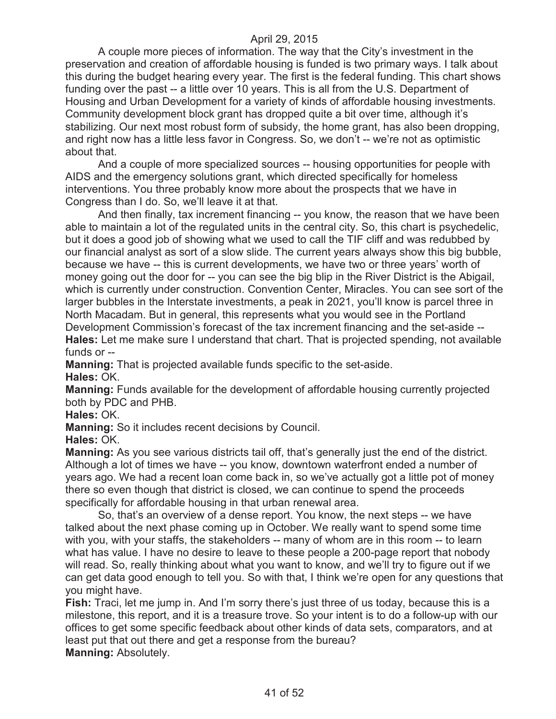A couple more pieces of information. The way that the City's investment in the preservation and creation of affordable housing is funded is two primary ways. I talk about this during the budget hearing every year. The first is the federal funding. This chart shows funding over the past -- a little over 10 years. This is all from the U.S. Department of Housing and Urban Development for a variety of kinds of affordable housing investments. Community development block grant has dropped quite a bit over time, although it's stabilizing. Our next most robust form of subsidy, the home grant, has also been dropping, and right now has a little less favor in Congress. So, we don't -- we're not as optimistic about that.

And a couple of more specialized sources -- housing opportunities for people with AIDS and the emergency solutions grant, which directed specifically for homeless interventions. You three probably know more about the prospects that we have in Congress than I do. So, we'll leave it at that.

And then finally, tax increment financing -- you know, the reason that we have been able to maintain a lot of the regulated units in the central city. So, this chart is psychedelic, but it does a good job of showing what we used to call the TIF cliff and was redubbed by our financial analyst as sort of a slow slide. The current years always show this big bubble, because we have -- this is current developments, we have two or three years' worth of money going out the door for -- you can see the big blip in the River District is the Abigail, which is currently under construction. Convention Center, Miracles. You can see sort of the larger bubbles in the Interstate investments, a peak in 2021, you'll know is parcel three in North Macadam. But in general, this represents what you would see in the Portland Development Commission's forecast of the tax increment financing and the set-aside -- **Hales:** Let me make sure I understand that chart. That is projected spending, not available funds or --

**Manning:** That is projected available funds specific to the set-aside. **Hales:** OK.

**Manning:** Funds available for the development of affordable housing currently projected both by PDC and PHB.

**Hales:** OK.

**Manning:** So it includes recent decisions by Council.

**Hales:** OK.

**Manning:** As you see various districts tail off, that's generally just the end of the district. Although a lot of times we have -- you know, downtown waterfront ended a number of years ago. We had a recent loan come back in, so we've actually got a little pot of money there so even though that district is closed, we can continue to spend the proceeds specifically for affordable housing in that urban renewal area.

So, that's an overview of a dense report. You know, the next steps -- we have talked about the next phase coming up in October. We really want to spend some time with you, with your staffs, the stakeholders -- many of whom are in this room -- to learn what has value. I have no desire to leave to these people a 200-page report that nobody will read. So, really thinking about what you want to know, and we'll try to figure out if we can get data good enough to tell you. So with that, I think we're open for any questions that you might have.

**Fish:** Traci, let me jump in. And I'm sorry there's just three of us today, because this is a milestone, this report, and it is a treasure trove. So your intent is to do a follow-up with our offices to get some specific feedback about other kinds of data sets, comparators, and at least put that out there and get a response from the bureau?

**Manning:** Absolutely.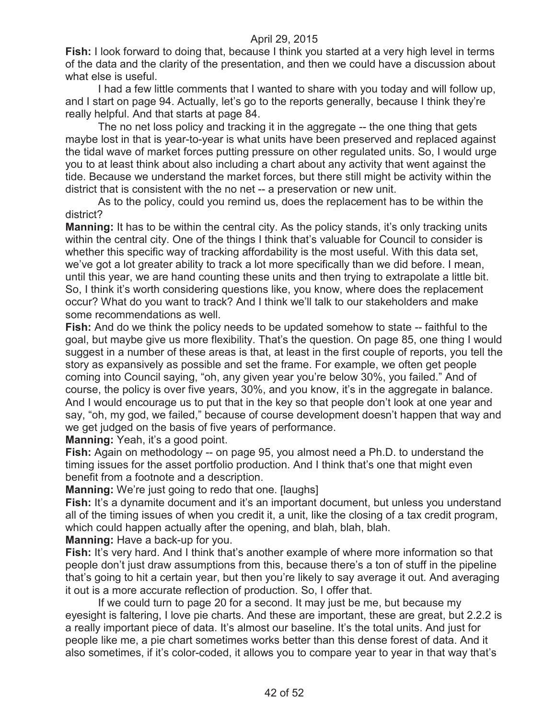**Fish:** I look forward to doing that, because I think you started at a very high level in terms of the data and the clarity of the presentation, and then we could have a discussion about what else is useful.

I had a few little comments that I wanted to share with you today and will follow up, and I start on page 94. Actually, let's go to the reports generally, because I think they're really helpful. And that starts at page 84.

The no net loss policy and tracking it in the aggregate -- the one thing that gets maybe lost in that is year-to-year is what units have been preserved and replaced against the tidal wave of market forces putting pressure on other regulated units. So, I would urge you to at least think about also including a chart about any activity that went against the tide. Because we understand the market forces, but there still might be activity within the district that is consistent with the no net -- a preservation or new unit.

As to the policy, could you remind us, does the replacement has to be within the district?

**Manning:** It has to be within the central city. As the policy stands, it's only tracking units within the central city. One of the things I think that's valuable for Council to consider is whether this specific way of tracking affordability is the most useful. With this data set, we've got a lot greater ability to track a lot more specifically than we did before. I mean, until this year, we are hand counting these units and then trying to extrapolate a little bit. So, I think it's worth considering questions like, you know, where does the replacement occur? What do you want to track? And I think we'll talk to our stakeholders and make some recommendations as well.

**Fish:** And do we think the policy needs to be updated somehow to state -- faithful to the goal, but maybe give us more flexibility. That's the question. On page 85, one thing I would suggest in a number of these areas is that, at least in the first couple of reports, you tell the story as expansively as possible and set the frame. For example, we often get people coming into Council saying, "oh, any given year you're below 30%, you failed." And of course, the policy is over five years, 30%, and you know, it's in the aggregate in balance. And I would encourage us to put that in the key so that people don't look at one year and say, "oh, my god, we failed," because of course development doesn't happen that way and we get judged on the basis of five years of performance.

**Manning:** Yeah, it's a good point.

**Fish:** Again on methodology -- on page 95, you almost need a Ph.D. to understand the timing issues for the asset portfolio production. And I think that's one that might even benefit from a footnote and a description.

**Manning:** We're just going to redo that one. [laughs]

Fish: It's a dynamite document and it's an important document, but unless you understand all of the timing issues of when you credit it, a unit, like the closing of a tax credit program, which could happen actually after the opening, and blah, blah, blah.

**Manning:** Have a back-up for you.

**Fish:** It's very hard. And I think that's another example of where more information so that people don't just draw assumptions from this, because there's a ton of stuff in the pipeline that's going to hit a certain year, but then you're likely to say average it out. And averaging it out is a more accurate reflection of production. So, I offer that.

If we could turn to page 20 for a second. It may just be me, but because my eyesight is faltering, I love pie charts. And these are important, these are great, but 2.2.2 is a really important piece of data. It's almost our baseline. It's the total units. And just for people like me, a pie chart sometimes works better than this dense forest of data. And it also sometimes, if it's color-coded, it allows you to compare year to year in that way that's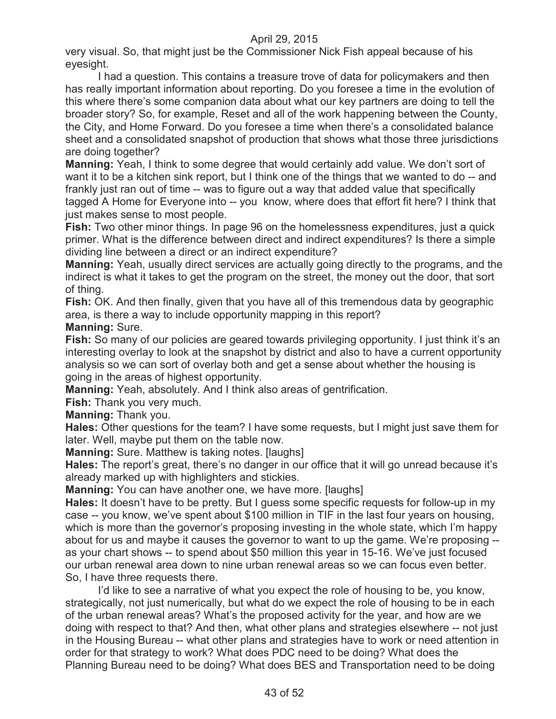very visual. So, that might just be the Commissioner Nick Fish appeal because of his eyesight.

I had a question. This contains a treasure trove of data for policymakers and then has really important information about reporting. Do you foresee a time in the evolution of this where there's some companion data about what our key partners are doing to tell the broader story? So, for example, Reset and all of the work happening between the County, the City, and Home Forward. Do you foresee a time when there's a consolidated balance sheet and a consolidated snapshot of production that shows what those three jurisdictions are doing together?

**Manning:** Yeah, I think to some degree that would certainly add value. We don't sort of want it to be a kitchen sink report, but I think one of the things that we wanted to do -- and frankly just ran out of time -- was to figure out a way that added value that specifically tagged A Home for Everyone into -- you know, where does that effort fit here? I think that just makes sense to most people.

**Fish:** Two other minor things. In page 96 on the homelessness expenditures, just a quick primer. What is the difference between direct and indirect expenditures? Is there a simple dividing line between a direct or an indirect expenditure?

**Manning:** Yeah, usually direct services are actually going directly to the programs, and the indirect is what it takes to get the program on the street, the money out the door, that sort of thing.

**Fish:** OK. And then finally, given that you have all of this tremendous data by geographic area, is there a way to include opportunity mapping in this report?

#### **Manning:** Sure.

Fish: So many of our policies are geared towards privileging opportunity. I just think it's an interesting overlay to look at the snapshot by district and also to have a current opportunity analysis so we can sort of overlay both and get a sense about whether the housing is going in the areas of highest opportunity.

**Manning:** Yeah, absolutely. And I think also areas of gentrification.

**Fish:** Thank you very much.

**Manning:** Thank you.

**Hales:** Other questions for the team? I have some requests, but I might just save them for later. Well, maybe put them on the table now.

**Manning:** Sure. Matthew is taking notes. [laughs]

**Hales:** The report's great, there's no danger in our office that it will go unread because it's already marked up with highlighters and stickies.

**Manning:** You can have another one, we have more. [laughs]

**Hales:** It doesn't have to be pretty. But I guess some specific requests for follow-up in my case -- you know, we've spent about \$100 million in TIF in the last four years on housing, which is more than the governor's proposing investing in the whole state, which I'm happy about for us and maybe it causes the governor to want to up the game. We're proposing - as your chart shows -- to spend about \$50 million this year in 15-16. We've just focused our urban renewal area down to nine urban renewal areas so we can focus even better. So, I have three requests there.

I'd like to see a narrative of what you expect the role of housing to be, you know, strategically, not just numerically, but what do we expect the role of housing to be in each of the urban renewal areas? What's the proposed activity for the year, and how are we doing with respect to that? And then, what other plans and strategies elsewhere -- not just in the Housing Bureau -- what other plans and strategies have to work or need attention in order for that strategy to work? What does PDC need to be doing? What does the Planning Bureau need to be doing? What does BES and Transportation need to be doing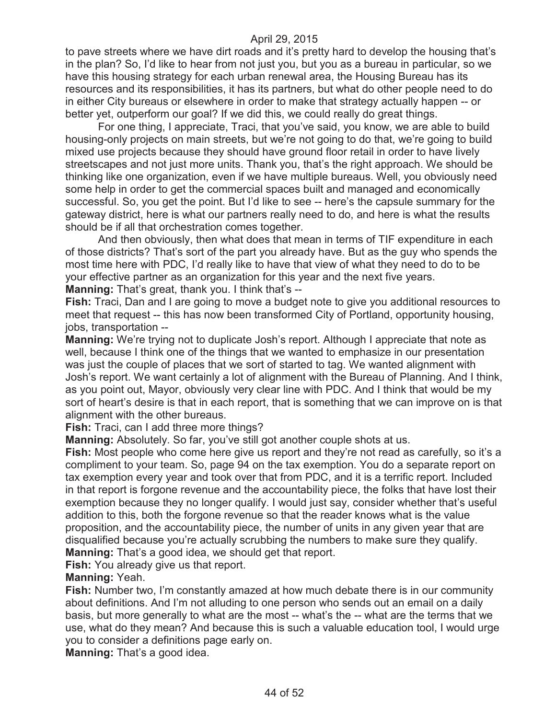to pave streets where we have dirt roads and it's pretty hard to develop the housing that's in the plan? So, I'd like to hear from not just you, but you as a bureau in particular, so we have this housing strategy for each urban renewal area, the Housing Bureau has its resources and its responsibilities, it has its partners, but what do other people need to do in either City bureaus or elsewhere in order to make that strategy actually happen -- or better yet, outperform our goal? If we did this, we could really do great things.

For one thing, I appreciate, Traci, that you've said, you know, we are able to build housing-only projects on main streets, but we're not going to do that, we're going to build mixed use projects because they should have ground floor retail in order to have lively streetscapes and not just more units. Thank you, that's the right approach. We should be thinking like one organization, even if we have multiple bureaus. Well, you obviously need some help in order to get the commercial spaces built and managed and economically successful. So, you get the point. But I'd like to see -- here's the capsule summary for the gateway district, here is what our partners really need to do, and here is what the results should be if all that orchestration comes together.

And then obviously, then what does that mean in terms of TIF expenditure in each of those districts? That's sort of the part you already have. But as the guy who spends the most time here with PDC, I'd really like to have that view of what they need to do to be your effective partner as an organization for this year and the next five years.

**Manning:** That's great, thank you. I think that's --

**Fish:** Traci, Dan and I are going to move a budget note to give you additional resources to meet that request -- this has now been transformed City of Portland, opportunity housing, jobs, transportation --

**Manning:** We're trying not to duplicate Josh's report. Although I appreciate that note as well, because I think one of the things that we wanted to emphasize in our presentation was just the couple of places that we sort of started to tag. We wanted alignment with Josh's report. We want certainly a lot of alignment with the Bureau of Planning. And I think, as you point out, Mayor, obviously very clear line with PDC. And I think that would be my sort of heart's desire is that in each report, that is something that we can improve on is that alignment with the other bureaus.

**Fish:** Traci, can I add three more things?

**Manning:** Absolutely. So far, you've still got another couple shots at us.

**Fish:** Most people who come here give us report and they're not read as carefully, so it's a compliment to your team. So, page 94 on the tax exemption. You do a separate report on tax exemption every year and took over that from PDC, and it is a terrific report. Included in that report is forgone revenue and the accountability piece, the folks that have lost their exemption because they no longer qualify. I would just say, consider whether that's useful addition to this, both the forgone revenue so that the reader knows what is the value proposition, and the accountability piece, the number of units in any given year that are disqualified because you're actually scrubbing the numbers to make sure they qualify. **Manning:** That's a good idea, we should get that report.

**Fish:** You already give us that report.

**Manning:** Yeah.

**Fish:** Number two, I'm constantly amazed at how much debate there is in our community about definitions. And I'm not alluding to one person who sends out an email on a daily basis, but more generally to what are the most -- what's the -- what are the terms that we use, what do they mean? And because this is such a valuable education tool, I would urge you to consider a definitions page early on.

**Manning:** That's a good idea.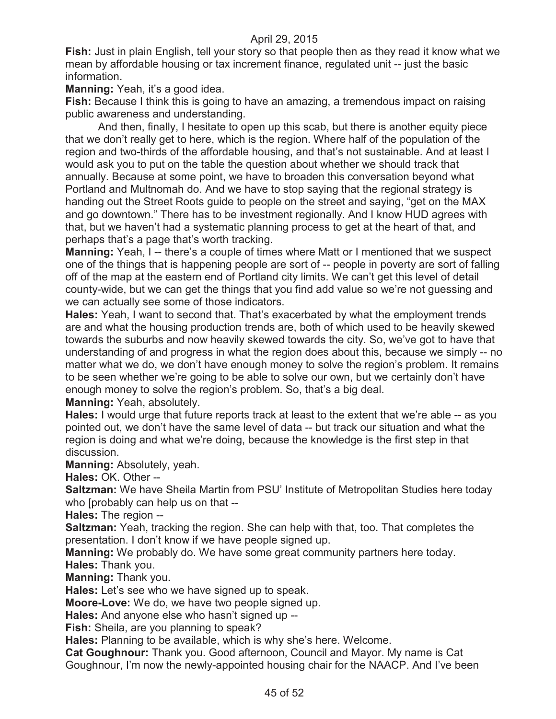**Fish:** Just in plain English, tell your story so that people then as they read it know what we mean by affordable housing or tax increment finance, regulated unit -- just the basic information.

**Manning:** Yeah, it's a good idea.

**Fish:** Because I think this is going to have an amazing, a tremendous impact on raising public awareness and understanding.

And then, finally, I hesitate to open up this scab, but there is another equity piece that we don't really get to here, which is the region. Where half of the population of the region and two-thirds of the affordable housing, and that's not sustainable. And at least I would ask you to put on the table the question about whether we should track that annually. Because at some point, we have to broaden this conversation beyond what Portland and Multnomah do. And we have to stop saying that the regional strategy is handing out the Street Roots guide to people on the street and saying, "get on the MAX and go downtown." There has to be investment regionally. And I know HUD agrees with that, but we haven't had a systematic planning process to get at the heart of that, and perhaps that's a page that's worth tracking.

**Manning:** Yeah, I -- there's a couple of times where Matt or I mentioned that we suspect one of the things that is happening people are sort of -- people in poverty are sort of falling off of the map at the eastern end of Portland city limits. We can't get this level of detail county-wide, but we can get the things that you find add value so we're not guessing and we can actually see some of those indicators.

**Hales:** Yeah, I want to second that. That's exacerbated by what the employment trends are and what the housing production trends are, both of which used to be heavily skewed towards the suburbs and now heavily skewed towards the city. So, we've got to have that understanding of and progress in what the region does about this, because we simply -- no matter what we do, we don't have enough money to solve the region's problem. It remains to be seen whether we're going to be able to solve our own, but we certainly don't have enough money to solve the region's problem. So, that's a big deal.

**Manning:** Yeah, absolutely.

**Hales:** I would urge that future reports track at least to the extent that we're able -- as you pointed out, we don't have the same level of data -- but track our situation and what the region is doing and what we're doing, because the knowledge is the first step in that discussion.

**Manning:** Absolutely, yeah.

**Hales:** OK. Other --

**Saltzman:** We have Sheila Martin from PSU' Institute of Metropolitan Studies here today who [probably can help us on that --

**Hales:** The region --

**Saltzman:** Yeah, tracking the region. She can help with that, too. That completes the presentation. I don't know if we have people signed up.

**Manning:** We probably do. We have some great community partners here today.

**Hales:** Thank you.

**Manning:** Thank you.

**Hales:** Let's see who we have signed up to speak.

**Moore-Love:** We do, we have two people signed up.

**Hales:** And anyone else who hasn't signed up --

**Fish:** Sheila, are you planning to speak?

**Hales:** Planning to be available, which is why she's here. Welcome.

**Cat Goughnour:** Thank you. Good afternoon, Council and Mayor. My name is Cat Goughnour, I'm now the newly-appointed housing chair for the NAACP. And I've been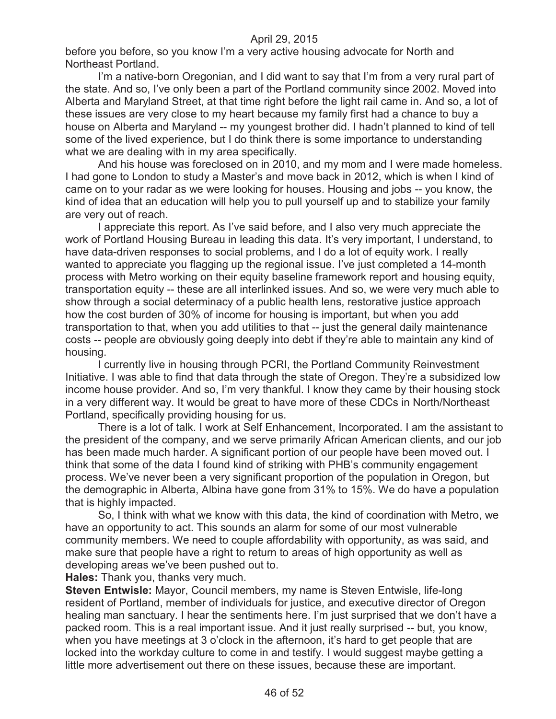before you before, so you know I'm a very active housing advocate for North and Northeast Portland.

I'm a native-born Oregonian, and I did want to say that I'm from a very rural part of the state. And so, I've only been a part of the Portland community since 2002. Moved into Alberta and Maryland Street, at that time right before the light rail came in. And so, a lot of these issues are very close to my heart because my family first had a chance to buy a house on Alberta and Maryland -- my youngest brother did. I hadn't planned to kind of tell some of the lived experience, but I do think there is some importance to understanding what we are dealing with in my area specifically.

And his house was foreclosed on in 2010, and my mom and I were made homeless. I had gone to London to study a Master's and move back in 2012, which is when I kind of came on to your radar as we were looking for houses. Housing and jobs -- you know, the kind of idea that an education will help you to pull yourself up and to stabilize your family are very out of reach.

I appreciate this report. As I've said before, and I also very much appreciate the work of Portland Housing Bureau in leading this data. It's very important, I understand, to have data-driven responses to social problems, and I do a lot of equity work. I really wanted to appreciate you flagging up the regional issue. I've just completed a 14-month process with Metro working on their equity baseline framework report and housing equity, transportation equity -- these are all interlinked issues. And so, we were very much able to show through a social determinacy of a public health lens, restorative justice approach how the cost burden of 30% of income for housing is important, but when you add transportation to that, when you add utilities to that -- just the general daily maintenance costs -- people are obviously going deeply into debt if they're able to maintain any kind of housing.

I currently live in housing through PCRI, the Portland Community Reinvestment Initiative. I was able to find that data through the state of Oregon. They're a subsidized low income house provider. And so, I'm very thankful. I know they came by their housing stock in a very different way. It would be great to have more of these CDCs in North/Northeast Portland, specifically providing housing for us.

There is a lot of talk. I work at Self Enhancement, Incorporated. I am the assistant to the president of the company, and we serve primarily African American clients, and our job has been made much harder. A significant portion of our people have been moved out. I think that some of the data I found kind of striking with PHB's community engagement process. We've never been a very significant proportion of the population in Oregon, but the demographic in Alberta, Albina have gone from 31% to 15%. We do have a population that is highly impacted.

So, I think with what we know with this data, the kind of coordination with Metro, we have an opportunity to act. This sounds an alarm for some of our most vulnerable community members. We need to couple affordability with opportunity, as was said, and make sure that people have a right to return to areas of high opportunity as well as developing areas we've been pushed out to.

**Hales:** Thank you, thanks very much.

**Steven Entwisle:** Mayor, Council members, my name is Steven Entwisle, life-long resident of Portland, member of individuals for justice, and executive director of Oregon healing man sanctuary. I hear the sentiments here. I'm just surprised that we don't have a packed room. This is a real important issue. And it just really surprised -- but, you know, when you have meetings at 3 o'clock in the afternoon, it's hard to get people that are locked into the workday culture to come in and testify. I would suggest maybe getting a little more advertisement out there on these issues, because these are important.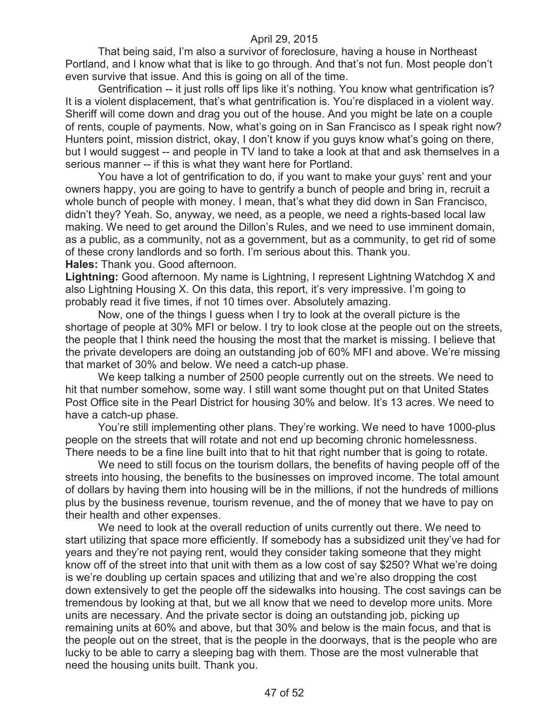That being said, I'm also a survivor of foreclosure, having a house in Northeast Portland, and I know what that is like to go through. And that's not fun. Most people don't even survive that issue. And this is going on all of the time.

Gentrification -- it just rolls off lips like it's nothing. You know what gentrification is? It is a violent displacement, that's what gentrification is. You're displaced in a violent way. Sheriff will come down and drag you out of the house. And you might be late on a couple of rents, couple of payments. Now, what's going on in San Francisco as I speak right now? Hunters point, mission district, okay, I don't know if you guys know what's going on there, but I would suggest -- and people in TV land to take a look at that and ask themselves in a serious manner -- if this is what they want here for Portland.

You have a lot of gentrification to do, if you want to make your guys' rent and your owners happy, you are going to have to gentrify a bunch of people and bring in, recruit a whole bunch of people with money. I mean, that's what they did down in San Francisco, didn't they? Yeah. So, anyway, we need, as a people, we need a rights-based local law making. We need to get around the Dillon's Rules, and we need to use imminent domain, as a public, as a community, not as a government, but as a community, to get rid of some of these crony landlords and so forth. I'm serious about this. Thank you. **Hales:** Thank you. Good afternoon.

**Lightning:** Good afternoon. My name is Lightning, I represent Lightning Watchdog X and also Lightning Housing X. On this data, this report, it's very impressive. I'm going to probably read it five times, if not 10 times over. Absolutely amazing.

Now, one of the things I guess when I try to look at the overall picture is the shortage of people at 30% MFI or below. I try to look close at the people out on the streets, the people that I think need the housing the most that the market is missing. I believe that the private developers are doing an outstanding job of 60% MFI and above. We're missing that market of 30% and below. We need a catch-up phase.

We keep talking a number of 2500 people currently out on the streets. We need to hit that number somehow, some way. I still want some thought put on that United States Post Office site in the Pearl District for housing 30% and below. It's 13 acres. We need to have a catch-up phase.

You're still implementing other plans. They're working. We need to have 1000-plus people on the streets that will rotate and not end up becoming chronic homelessness. There needs to be a fine line built into that to hit that right number that is going to rotate.

We need to still focus on the tourism dollars, the benefits of having people off of the streets into housing, the benefits to the businesses on improved income. The total amount of dollars by having them into housing will be in the millions, if not the hundreds of millions plus by the business revenue, tourism revenue, and the of money that we have to pay on their health and other expenses.

We need to look at the overall reduction of units currently out there. We need to start utilizing that space more efficiently. If somebody has a subsidized unit they've had for years and they're not paying rent, would they consider taking someone that they might know off of the street into that unit with them as a low cost of say \$250? What we're doing is we're doubling up certain spaces and utilizing that and we're also dropping the cost down extensively to get the people off the sidewalks into housing. The cost savings can be tremendous by looking at that, but we all know that we need to develop more units. More units are necessary. And the private sector is doing an outstanding job, picking up remaining units at 60% and above, but that 30% and below is the main focus, and that is the people out on the street, that is the people in the doorways, that is the people who are lucky to be able to carry a sleeping bag with them. Those are the most vulnerable that need the housing units built. Thank you.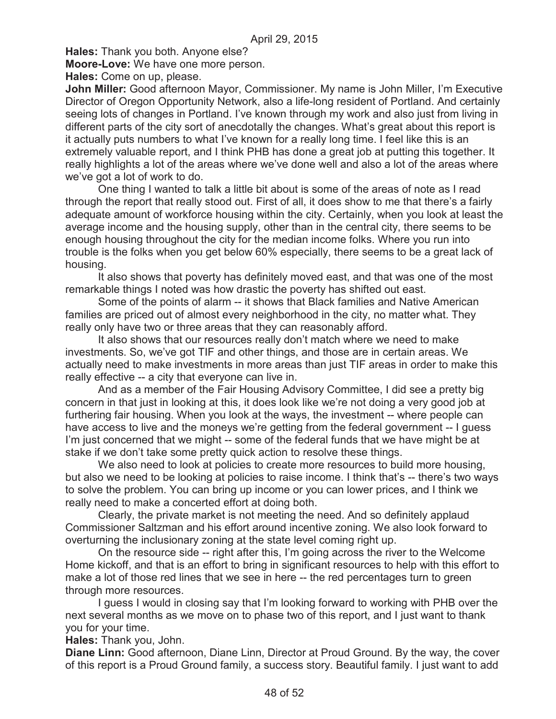**Hales:** Thank you both. Anyone else?

**Moore-Love:** We have one more person.

**Hales:** Come on up, please.

**John Miller:** Good afternoon Mayor, Commissioner. My name is John Miller, I'm Executive Director of Oregon Opportunity Network, also a life-long resident of Portland. And certainly seeing lots of changes in Portland. I've known through my work and also just from living in different parts of the city sort of anecdotally the changes. What's great about this report is it actually puts numbers to what I've known for a really long time. I feel like this is an extremely valuable report, and I think PHB has done a great job at putting this together. It really highlights a lot of the areas where we've done well and also a lot of the areas where we've got a lot of work to do.

One thing I wanted to talk a little bit about is some of the areas of note as I read through the report that really stood out. First of all, it does show to me that there's a fairly adequate amount of workforce housing within the city. Certainly, when you look at least the average income and the housing supply, other than in the central city, there seems to be enough housing throughout the city for the median income folks. Where you run into trouble is the folks when you get below 60% especially, there seems to be a great lack of housing.

It also shows that poverty has definitely moved east, and that was one of the most remarkable things I noted was how drastic the poverty has shifted out east.

Some of the points of alarm -- it shows that Black families and Native American families are priced out of almost every neighborhood in the city, no matter what. They really only have two or three areas that they can reasonably afford.

It also shows that our resources really don't match where we need to make investments. So, we've got TIF and other things, and those are in certain areas. We actually need to make investments in more areas than just TIF areas in order to make this really effective -- a city that everyone can live in.

And as a member of the Fair Housing Advisory Committee, I did see a pretty big concern in that just in looking at this, it does look like we're not doing a very good job at furthering fair housing. When you look at the ways, the investment -- where people can have access to live and the moneys we're getting from the federal government -- I guess I'm just concerned that we might -- some of the federal funds that we have might be at stake if we don't take some pretty quick action to resolve these things.

We also need to look at policies to create more resources to build more housing, but also we need to be looking at policies to raise income. I think that's -- there's two ways to solve the problem. You can bring up income or you can lower prices, and I think we really need to make a concerted effort at doing both.

Clearly, the private market is not meeting the need. And so definitely applaud Commissioner Saltzman and his effort around incentive zoning. We also look forward to overturning the inclusionary zoning at the state level coming right up.

On the resource side -- right after this, I'm going across the river to the Welcome Home kickoff, and that is an effort to bring in significant resources to help with this effort to make a lot of those red lines that we see in here -- the red percentages turn to green through more resources.

I guess I would in closing say that I'm looking forward to working with PHB over the next several months as we move on to phase two of this report, and I just want to thank you for your time.

**Hales:** Thank you, John.

**Diane Linn:** Good afternoon, Diane Linn, Director at Proud Ground. By the way, the cover of this report is a Proud Ground family, a success story. Beautiful family. I just want to add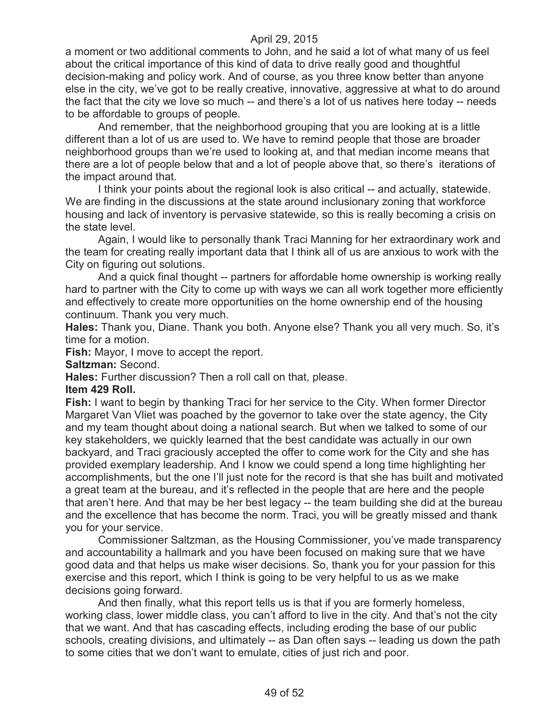a moment or two additional comments to John, and he said a lot of what many of us feel about the critical importance of this kind of data to drive really good and thoughtful decision-making and policy work. And of course, as you three know better than anyone else in the city, we've got to be really creative, innovative, aggressive at what to do around the fact that the city we love so much -- and there's a lot of us natives here today -- needs to be affordable to groups of people.

And remember, that the neighborhood grouping that you are looking at is a little different than a lot of us are used to. We have to remind people that those are broader neighborhood groups than we're used to looking at, and that median income means that there are a lot of people below that and a lot of people above that, so there's iterations of the impact around that.

I think your points about the regional look is also critical -- and actually, statewide. We are finding in the discussions at the state around inclusionary zoning that workforce housing and lack of inventory is pervasive statewide, so this is really becoming a crisis on the state level.

Again, I would like to personally thank Traci Manning for her extraordinary work and the team for creating really important data that I think all of us are anxious to work with the City on figuring out solutions.

And a quick final thought -- partners for affordable home ownership is working really hard to partner with the City to come up with ways we can all work together more efficiently and effectively to create more opportunities on the home ownership end of the housing continuum. Thank you very much.

**Hales:** Thank you, Diane. Thank you both. Anyone else? Thank you all very much. So, it's time for a motion.

**Fish:** Mayor, I move to accept the report.

**Saltzman:** Second.

**Hales:** Further discussion? Then a roll call on that, please.

#### **Item 429 Roll.**

**Fish:** I want to begin by thanking Traci for her service to the City. When former Director Margaret Van Vliet was poached by the governor to take over the state agency, the City and my team thought about doing a national search. But when we talked to some of our key stakeholders, we quickly learned that the best candidate was actually in our own backyard, and Traci graciously accepted the offer to come work for the City and she has provided exemplary leadership. And I know we could spend a long time highlighting her accomplishments, but the one I'll just note for the record is that she has built and motivated a great team at the bureau, and it's reflected in the people that are here and the people that aren't here. And that may be her best legacy -- the team building she did at the bureau and the excellence that has become the norm. Traci, you will be greatly missed and thank you for your service.

Commissioner Saltzman, as the Housing Commissioner, you've made transparency and accountability a hallmark and you have been focused on making sure that we have good data and that helps us make wiser decisions. So, thank you for your passion for this exercise and this report, which I think is going to be very helpful to us as we make decisions going forward.

And then finally, what this report tells us is that if you are formerly homeless, working class, lower middle class, you can't afford to live in the city. And that's not the city that we want. And that has cascading effects, including eroding the base of our public schools, creating divisions, and ultimately -- as Dan often says -- leading us down the path to some cities that we don't want to emulate, cities of just rich and poor.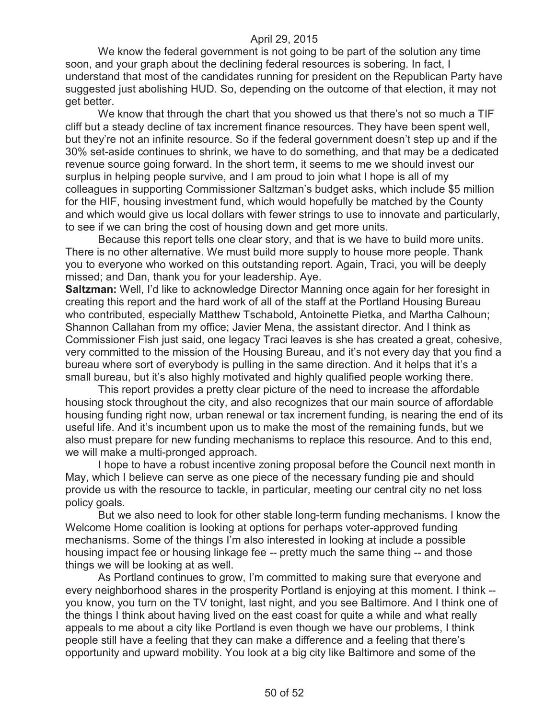We know the federal government is not going to be part of the solution any time soon, and your graph about the declining federal resources is sobering. In fact, I understand that most of the candidates running for president on the Republican Party have suggested just abolishing HUD. So, depending on the outcome of that election, it may not get better.

We know that through the chart that you showed us that there's not so much a TIF cliff but a steady decline of tax increment finance resources. They have been spent well, but they're not an infinite resource. So if the federal government doesn't step up and if the 30% set-aside continues to shrink, we have to do something, and that may be a dedicated revenue source going forward. In the short term, it seems to me we should invest our surplus in helping people survive, and I am proud to join what I hope is all of my colleagues in supporting Commissioner Saltzman's budget asks, which include \$5 million for the HIF, housing investment fund, which would hopefully be matched by the County and which would give us local dollars with fewer strings to use to innovate and particularly, to see if we can bring the cost of housing down and get more units.

Because this report tells one clear story, and that is we have to build more units. There is no other alternative. We must build more supply to house more people. Thank you to everyone who worked on this outstanding report. Again, Traci, you will be deeply missed; and Dan, thank you for your leadership. Aye.

**Saltzman:** Well, I'd like to acknowledge Director Manning once again for her foresight in creating this report and the hard work of all of the staff at the Portland Housing Bureau who contributed, especially Matthew Tschabold, Antoinette Pietka, and Martha Calhoun; Shannon Callahan from my office; Javier Mena, the assistant director. And I think as Commissioner Fish just said, one legacy Traci leaves is she has created a great, cohesive, very committed to the mission of the Housing Bureau, and it's not every day that you find a bureau where sort of everybody is pulling in the same direction. And it helps that it's a small bureau, but it's also highly motivated and highly qualified people working there.

This report provides a pretty clear picture of the need to increase the affordable housing stock throughout the city, and also recognizes that our main source of affordable housing funding right now, urban renewal or tax increment funding, is nearing the end of its useful life. And it's incumbent upon us to make the most of the remaining funds, but we also must prepare for new funding mechanisms to replace this resource. And to this end, we will make a multi-pronged approach.

I hope to have a robust incentive zoning proposal before the Council next month in May, which I believe can serve as one piece of the necessary funding pie and should provide us with the resource to tackle, in particular, meeting our central city no net loss policy goals.

But we also need to look for other stable long-term funding mechanisms. I know the Welcome Home coalition is looking at options for perhaps voter-approved funding mechanisms. Some of the things I'm also interested in looking at include a possible housing impact fee or housing linkage fee -- pretty much the same thing -- and those things we will be looking at as well.

As Portland continues to grow, I'm committed to making sure that everyone and every neighborhood shares in the prosperity Portland is enjoying at this moment. I think - you know, you turn on the TV tonight, last night, and you see Baltimore. And I think one of the things I think about having lived on the east coast for quite a while and what really appeals to me about a city like Portland is even though we have our problems, I think people still have a feeling that they can make a difference and a feeling that there's opportunity and upward mobility. You look at a big city like Baltimore and some of the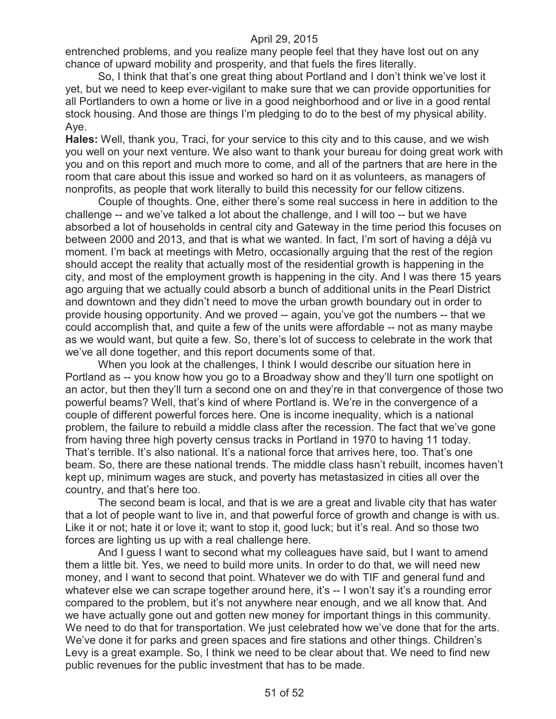entrenched problems, and you realize many people feel that they have lost out on any chance of upward mobility and prosperity, and that fuels the fires literally.

So, I think that that's one great thing about Portland and I don't think we've lost it yet, but we need to keep ever-vigilant to make sure that we can provide opportunities for all Portlanders to own a home or live in a good neighborhood and or live in a good rental stock housing. And those are things I'm pledging to do to the best of my physical ability. Aye.

**Hales:** Well, thank you, Traci, for your service to this city and to this cause, and we wish you well on your next venture. We also want to thank your bureau for doing great work with you and on this report and much more to come, and all of the partners that are here in the room that care about this issue and worked so hard on it as volunteers, as managers of nonprofits, as people that work literally to build this necessity for our fellow citizens.

Couple of thoughts. One, either there's some real success in here in addition to the challenge -- and we've talked a lot about the challenge, and I will too -- but we have absorbed a lot of households in central city and Gateway in the time period this focuses on between 2000 and 2013, and that is what we wanted. In fact, I'm sort of having a déjà vu moment. I'm back at meetings with Metro, occasionally arguing that the rest of the region should accept the reality that actually most of the residential growth is happening in the city, and most of the employment growth is happening in the city. And I was there 15 years ago arguing that we actually could absorb a bunch of additional units in the Pearl District and downtown and they didn't need to move the urban growth boundary out in order to provide housing opportunity. And we proved -- again, you've got the numbers -- that we could accomplish that, and quite a few of the units were affordable -- not as many maybe as we would want, but quite a few. So, there's lot of success to celebrate in the work that we've all done together, and this report documents some of that.

When you look at the challenges, I think I would describe our situation here in Portland as -- you know how you go to a Broadway show and they'll turn one spotlight on an actor, but then they'll turn a second one on and they're in that convergence of those two powerful beams? Well, that's kind of where Portland is. We're in the convergence of a couple of different powerful forces here. One is income inequality, which is a national problem, the failure to rebuild a middle class after the recession. The fact that we've gone from having three high poverty census tracks in Portland in 1970 to having 11 today. That's terrible. It's also national. It's a national force that arrives here, too. That's one beam. So, there are these national trends. The middle class hasn't rebuilt, incomes haven't kept up, minimum wages are stuck, and poverty has metastasized in cities all over the country, and that's here too.

The second beam is local, and that is we are a great and livable city that has water that a lot of people want to live in, and that powerful force of growth and change is with us. Like it or not; hate it or love it; want to stop it, good luck; but it's real. And so those two forces are lighting us up with a real challenge here.

And I guess I want to second what my colleagues have said, but I want to amend them a little bit. Yes, we need to build more units. In order to do that, we will need new money, and I want to second that point. Whatever we do with TIF and general fund and whatever else we can scrape together around here, it's -- I won't say it's a rounding error compared to the problem, but it's not anywhere near enough, and we all know that. And we have actually gone out and gotten new money for important things in this community. We need to do that for transportation. We just celebrated how we've done that for the arts. We've done it for parks and green spaces and fire stations and other things. Children's Levy is a great example. So, I think we need to be clear about that. We need to find new public revenues for the public investment that has to be made.